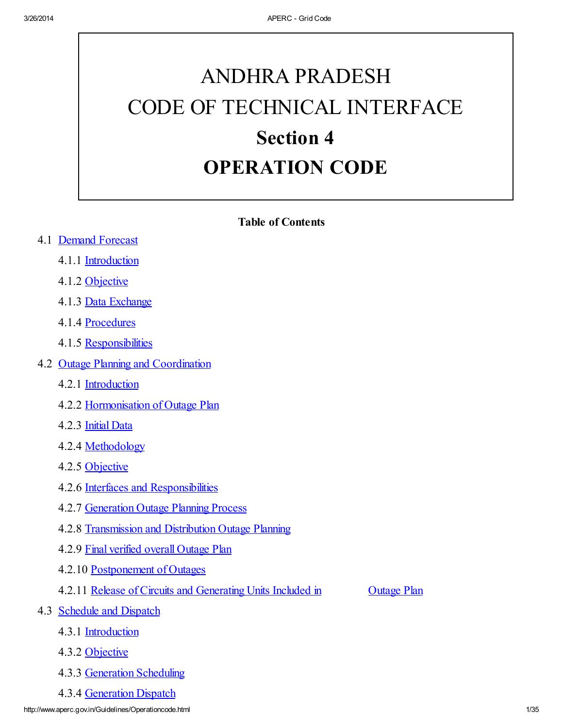# ANDHRA PRADESH CODE OF TECHNICAL INTERFACE Section 4 OPERATION CODE

#### Table of Contents

#### 4.1 Demand Forecast

- 4.1.1 Introduction
- 4.1.2 Objective
- 4.1.3 Data Exchange
- 4.1.4 Procedures
- 4.1.5 Responsibilities
- 4.2 Outage Planning and Coordination
	- 4.2.1 Introduction
	- 4.2.2 Hormonisation of Outage Plan
	- 4.2.3 Initial Data
	- 4.2.4 Methodology
	- 4.2.5 Objective
	- 4.2.6 Interfaces and Responsibilities
	- 4.2.7 Generation Outage Planning Process
	- 4.2.8 Transmission and Distribution Outage Planning
	- 4.2.9 Final verified overall Outage Plan
	- 4.2.10 Postponement of Outages
	- 4.2.11 Release of Circuits and Generating Units Included in Outage Plan

- 4.3 Schedule and Dispatch
	- 4.3.1 Introduction
	- 4.3.2 Objective
	- 4.3.3 Generation Scheduling
	- 4.3.4 Generation Dispatch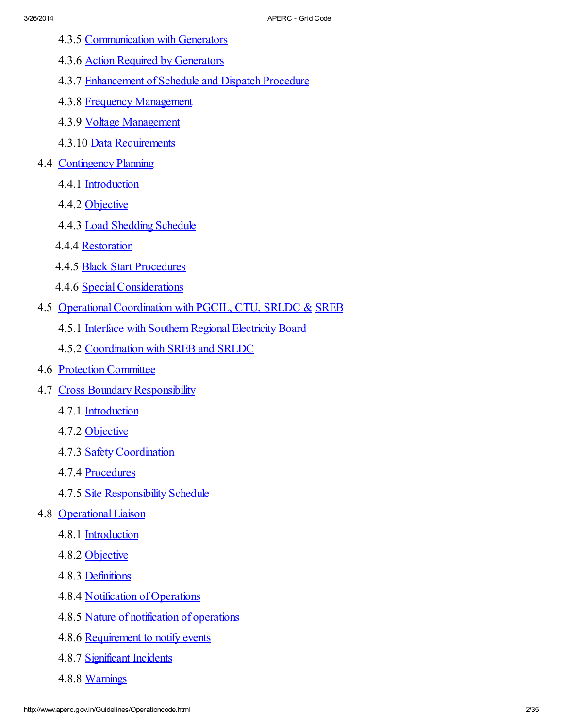- 4.3.5 Communication with Generators
- 4.3.6 Action Required by Generators
- 4.3.7 Enhancement of Schedule and Dispatch Procedure
- 4.3.8 Frequency Management
- 4.3.9 Voltage Management
- 4.3.10 Data Requirements
- 4.4 Contingency Planning
	- 4.4.1 Introduction
	- 4.4.2 Objective
	- 4.4.3 Load Shedding Schedule
	- 4.4.4 Restoration
	- 4.4.5 Black Start Procedures
	- 4.4.6 SpecialConsiderations
- 4.5 Operational Coordination with PGCIL, CTU, SRLDC & SREB
	- 4.5.1 Interface with Southern Regional Electricity Board
	- 4.5.2 Coordination with SREB and SRLDC
- 4.6 Protection Committee
- 4.7 Cross Boundary Responsibility
	- 4.7.1 Introduction
	- 4.7.2 Objective
	- 4.7.3 Safety Coordination
	- 4.7.4 Procedures
	- 4.7.5 Site Responsibility Schedule
- 4.8 Operational Liaison
	- 4.8.1 Introduction
	- 4.8.2 Objective
	- 4.8.3 Definitions
	- 4.8.4 Notification of Operations
	- 4.8.5 Nature of notification of operations
	- 4.8.6 Requirement to notify events
	- 4.8.7 Significant Incidents
	- 4.8.8 Warnings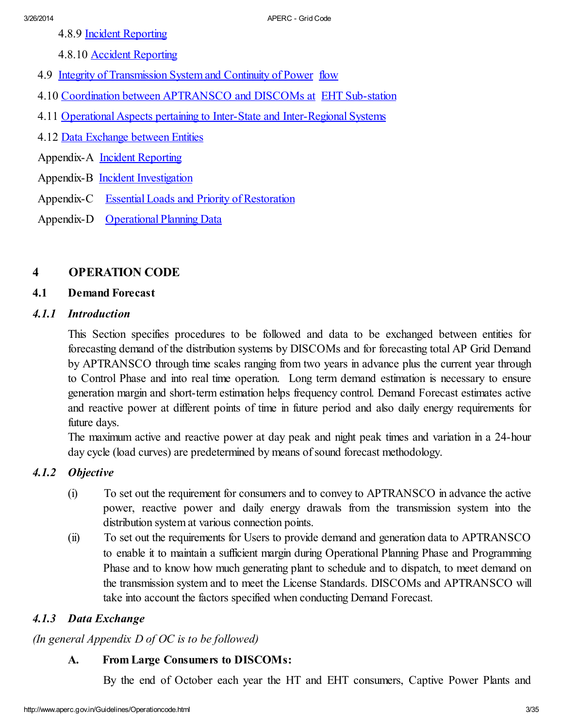- 4.8.9 Incident Reporting
- 4.8.10 Accident Reporting
- 4.9 Integrity of Transmission System and Continuity of Power flow
- 4.10 Coordination between APTRANSCO and DISCOMs at EHT Sub-station
- 4.11 Operational Aspects pertaining to Inter-State and Inter-Regional Systems
- 4.12 Data Exchange between Entities
- Appendix-A Incident [Reporting](file:///C:/Inetpub/wwwroot/ercap_19Oct05/licencing/ocappendixA.doc)
- Appendix-B Incident [Investigation](file:///C:/Inetpub/wwwroot/ercap_19Oct05/licencing/ocappendixB.doc)
- Appendix-C Essential Loads and Priority of [Restoration](file:///C:/Inetpub/wwwroot/ercap_19Oct05/licencing/ocappendixC.doc)
- Appendix-D [Operational](file:///C:/Inetpub/wwwroot/ercap_19Oct05/licencing/ocappendixD.doc) Planning Data

# 4 OPERATION CODE

### 4.1 Demand Forecast

### *4.1.1 Introduction*

This Section specifies procedures to be followed and data to be exchanged between entities for forecasting demand of the distribution systems by DISCOMs and for forecasting total AP Grid Demand by APTRANSCO through time scales ranging from two years in advance plus the current year through to Control Phase and into real time operation. Long term demand estimation is necessary to ensure generation margin and short-term estimation helps frequency control. Demand Forecast estimates active and reactive power at different points of time in future period and also daily energy requirements for future days.

The maximum active and reactive power at day peak and night peak times and variation in a 24-hour day cycle (load curves) are predetermined by means of sound forecast methodology.

# *4.1.2 Objective*

- (i) To set out the requirement for consumers and to convey to APTRANSCO in advance the active power, reactive power and daily energy drawals from the transmission system into the distribution system at various connection points.
- (ii) To set out the requirements for Users to provide demand and generation data to APTRANSCO to enable it to maintain a sufficient margin during Operational Planning Phase and Programming Phase and to know how much generating plant to schedule and to dispatch, to meet demand on the transmission system and to meet the License Standards. DISCOMs and APTRANSCO will take into account the factors specified when conducting Demand Forecast.

# *4.1.3 Data Exchange*

*(In general Appendix D of OC is to be followed)*

# A. From Large Consumers to DISCOMs:

By the end of October each year the HT and EHT consumers, Captive Power Plants and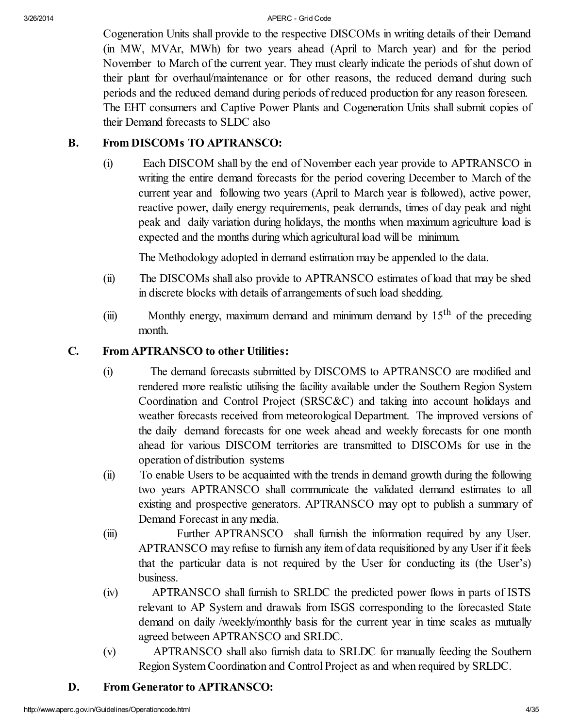Cogeneration Units shall provide to the respective DISCOMs in writing details of their Demand (in MW, MVAr, MWh) for two years ahead (April to March year) and for the period November to March of the current year. They must clearly indicate the periods of shut down of their plant for overhaul/maintenance or for other reasons, the reduced demand during such periods and the reduced demand during periods of reduced production for any reason foreseen. The EHT consumers and Captive Power Plants and Cogeneration Units shall submit copies of their Demand forecasts to SLDC also

# B. From DISCOMs TO APTRANSCO:

(i) Each DISCOM shall by the end of November each year provide to APTRANSCO in writing the entire demand forecasts for the period covering December to March of the current year and following two years (April to March year is followed), active power, reactive power, daily energy requirements, peak demands, times of day peak and night peak and daily variation during holidays, the months when maximum agriculture load is expected and the months during which agricultural load will be minimum.

The Methodology adopted in demand estimation may be appended to the data.

- (ii) The DISCOMs shall also provide to APTRANSCO estimates of load that may be shed in discrete blocks with details of arrangements of such load shedding.
- (iii) Monthly energy, maximum demand and minimum demand by  $15<sup>th</sup>$  of the preceding month.

### C. From APTRANSCO to other Utilities:

- (i) The demand forecasts submitted by DISCOMS to APTRANSCO are modified and rendered more realistic utilising the facility available under the Southern Region System Coordination and Control Project (SRSC&C) and taking into account holidays and weather forecasts received from meteorological Department. The improved versions of the daily demand forecasts for one week ahead and weekly forecasts for one month ahead for various DISCOM territories are transmitted to DISCOMs for use in the operation of distribution systems
- (ii) To enable Users to be acquainted with the trends in demand growth during the following two years APTRANSCO shall communicate the validated demand estimates to all existing and prospective generators. APTRANSCO may opt to publish a summary of Demand Forecast in any media.
- (iii) Further APTRANSCO shall furnish the information required by any User. APTRANSCO may refuse to furnish any item of data requisitioned by any User if it feels that the particular data is not required by the User for conducting its (the User's) business.
- (iv) APTRANSCO shall furnish to SRLDC the predicted power flows in parts of ISTS relevant to AP System and drawals from ISGS corresponding to the forecasted State demand on daily /weekly/monthly basis for the current year in time scales as mutually agreed between APTRANSCO and SRLDC.
- (v) APTRANSCO shall also furnish data to SRLDC for manually feeding the Southern Region System Coordination and Control Project as and when required by SRLDC.

# D. From Generator to APTRANSCO: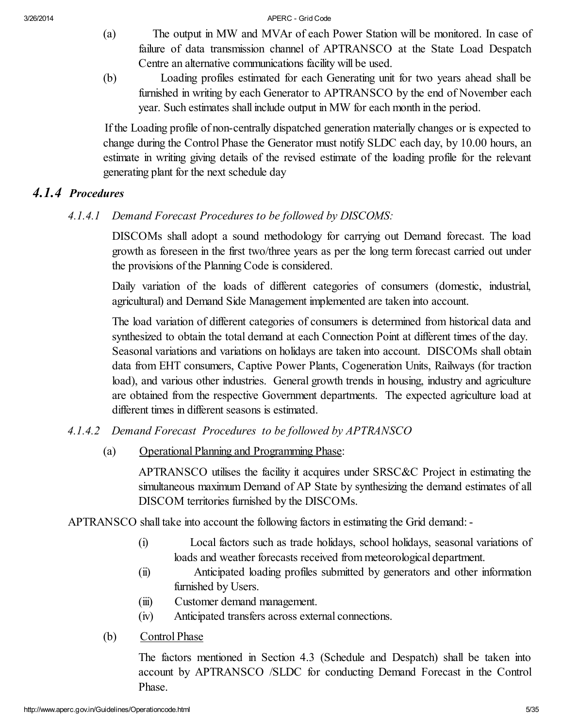- (a) The output in MW and MVAr of each Power Station will be monitored. In case of failure of data transmission channel of APTRANSCO at the State Load Despatch Centre an alternative communications facility will be used.
- (b) Loading profiles estimated for each Generating unit for two years ahead shall be furnished in writing by each Generator to APTRANSCO by the end of November each year. Such estimates shall include output in MW for each month in the period.

If the Loading profile of non-centrally dispatched generation materially changes or is expected to change during the Control Phase the Generator must notify SLDC each day, by 10.00 hours, an estimate in writing giving details of the revised estimate of the loading profile for the relevant generating plant for the next schedule day

# *4.1.4 Procedures*

*4.1.4.1 Demand Forecast Procedures to be followed by DISCOMS:*

DISCOMs shall adopt a sound methodology for carrying out Demand forecast. The load growth as foreseen in the first two/three years as per the long term forecast carried out under the provisions of the Planning Code is considered.

Daily variation of the loads of different categories of consumers (domestic, industrial, agricultural) and Demand Side Management implemented are taken into account.

The load variation of different categories of consumers is determined from historical data and synthesized to obtain the total demand at each Connection Point at different times of the day. Seasonal variations and variations on holidays are taken into account. DISCOMs shall obtain data from EHT consumers, Captive Power Plants, Cogeneration Units, Railways (for traction load), and various other industries. General growth trends in housing, industry and agriculture are obtained from the respective Government departments. The expected agriculture load at different times in different seasons is estimated.

- *4.1.4.2 Demand Forecast Procedures to be followed by APTRANSCO*
	- (a) Operational Planning and Programming Phase:

APTRANSCO utilises the facility it acquires under SRSC&C Project in estimating the simultaneous maximum Demand of AP State by synthesizing the demand estimates of all DISCOM territories furnished by the DISCOMs.

APTRANSCO shall take into account the following factors in estimating the Grid demand:-

- (i) Local factors such as trade holidays, school holidays, seasonal variations of loads and weather forecasts received from meteorological department.
- (ii) Anticipated loading profiles submitted by generators and other information furnished by Users.
- (iii) Customer demand management.
- (iv) Anticipated transfers across external connections.
- (b) Control Phase

The factors mentioned in Section 4.3 (Schedule and Despatch) shall be taken into account by APTRANSCO /SLDC for conducting Demand Forecast in the Control Phase.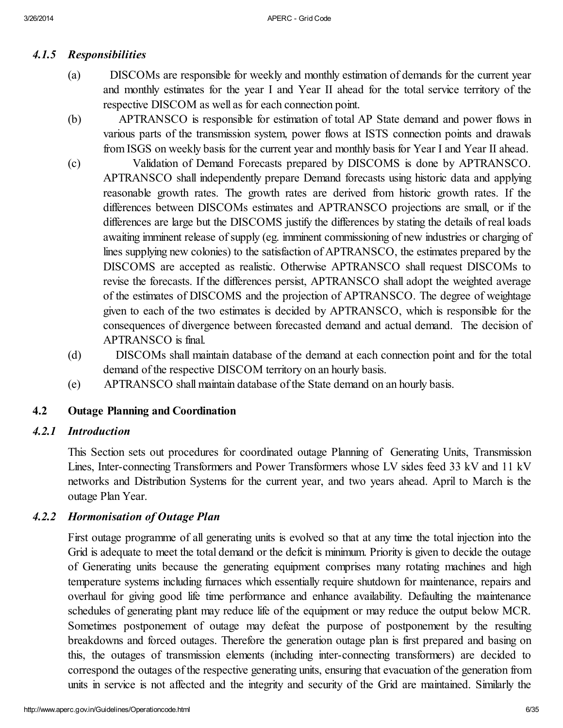# *4.1.5 Responsibilities*

- (a) DISCOMs are responsible for weekly and monthly estimation of demands for the current year and monthly estimates for the year I and Year II ahead for the total service territory of the respective DISCOM as well as for each connection point.
- (b) APTRANSCO is responsible for estimation of total AP State demand and power flows in various parts of the transmission system, power flows at ISTS connection points and drawals from ISGS on weekly basis for the current year and monthly basis for Year I and Year II ahead.
- (c) Validation of Demand Forecasts prepared by DISCOMS is done by APTRANSCO. APTRANSCO shall independently prepare Demand forecasts using historic data and applying reasonable growth rates. The growth rates are derived from historic growth rates. If the differences between DISCOMs estimates and APTRANSCO projections are small, or if the differences are large but the DISCOMS justify the differences by stating the details of real loads awaiting imminent release of supply (eg. imminent commissioning of new industries or charging of lines supplying new colonies) to the satisfaction of APTRANSCO, the estimates prepared by the DISCOMS are accepted as realistic. Otherwise APTRANSCO shall request DISCOMs to revise the forecasts. If the differences persist, APTRANSCO shall adopt the weighted average of the estimates of DISCOMS and the projection of APTRANSCO. The degree of weightage given to each of the two estimates is decided by APTRANSCO, which is responsible for the consequences of divergence between forecasted demand and actual demand. The decision of APTRANSCO is final.
- (d) DISCOMs shall maintain database of the demand at each connection point and for the total demand of the respective DISCOM territory on an hourly basis.
- (e) APTRANSCO shall maintain database of the State demand on an hourly basis.

### 4.2 Outage Planning and Coordination

#### *4.2.1 Introduction*

This Section sets out procedures for coordinated outage Planning of Generating Units, Transmission Lines, Inter-connecting Transformers and Power Transformers whose LV sides feed 33 kV and 11 kV networks and Distribution Systems for the current year, and two years ahead. April to March is the outage Plan Year.

### *4.2.2 Hormonisation of Outage Plan*

First outage programme of all generating units is evolved so that at any time the total injection into the Grid is adequate to meet the total demand or the deficit is minimum. Priority is given to decide the outage of Generating units because the generating equipment comprises many rotating machines and high temperature systems including furnaces which essentially require shutdown for maintenance, repairs and overhaul for giving good life time performance and enhance availability. Defaulting the maintenance schedules of generating plant may reduce life of the equipment or may reduce the output below MCR. Sometimes postponement of outage may defeat the purpose of postponement by the resulting breakdowns and forced outages. Therefore the generation outage plan is first prepared and basing on this, the outages of transmission elements (including inter-connecting transformers) are decided to correspond the outages of the respective generating units, ensuring that evacuation of the generation from units in service is not affected and the integrity and security of the Grid are maintained. Similarly the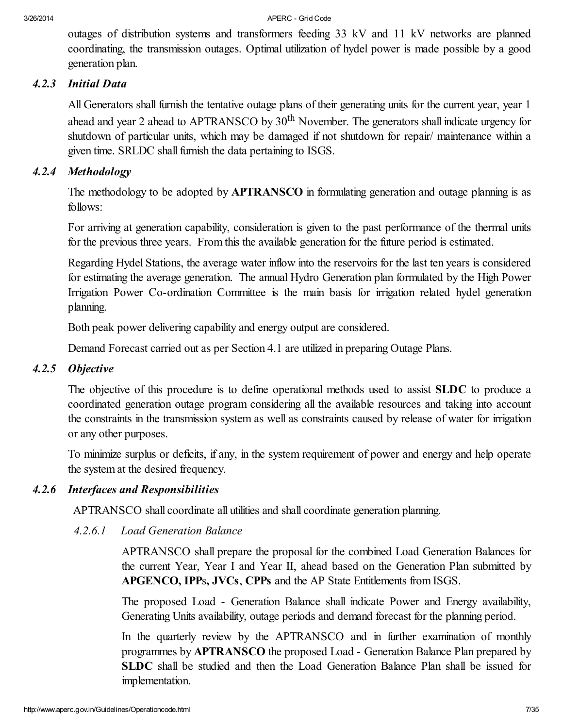outages of distribution systems and transformers feeding 33 kV and 11 kV networks are planned coordinating, the transmission outages. Optimal utilization of hydel power is made possible by a good generation plan.

#### *4.2.3 Initial Data*

All Generators shall furnish the tentative outage plans of their generating units for the current year, year 1 ahead and year 2 ahead to APTRANSCO by  $30<sup>th</sup>$  November. The generators shall indicate urgency for shutdown of particular units, which may be damaged if not shutdown for repair/ maintenance within a given time. SRLDC shall furnish the data pertaining to ISGS.

### *4.2.4 Methodology*

The methodology to be adopted by **APTRANSCO** in formulating generation and outage planning is as follows:

For arriving at generation capability, consideration is given to the past performance of the thermal units for the previous three years. From this the available generation for the future period is estimated.

Regarding Hydel Stations, the average water inflow into the reservoirs for the last ten years is considered for estimating the average generation. The annual Hydro Generation plan formulated by the High Power Irrigation Power Co-ordination Committee is the main basis for irrigation related hydel generation planning.

Both peak power delivering capability and energy output are considered.

Demand Forecast carried out as per Section 4.1 are utilized in preparing Outage Plans.

### *4.2.5 Objective*

The objective of this procedure is to define operational methods used to assist SLDC to produce a coordinated generation outage program considering all the available resources and taking into account the constraints in the transmission system as well as constraints caused by release of water for irrigation or any other purposes.

To minimize surplus or deficits, if any, in the system requirement of power and energy and help operate the system at the desired frequency.

### *4.2.6 Interfaces and Responsibilities*

APTRANSCO shall coordinate all utilities and shall coordinate generation planning.

*4.2.6.1 Load Generation Balance*

APTRANSCO shall prepare the proposal for the combined Load Generation Balances for the current Year, Year I and Year II, ahead based on the Generation Plan submitted by APGENCO, IPPs, JVCs, CPPs and the AP State Entitlements from ISGS.

The proposed Load - Generation Balance shall indicate Power and Energy availability, Generating Units availability, outage periods and demand forecast for the planning period.

In the quarterly review by the APTRANSCO and in further examination of monthly programmes by APTRANSCO the proposed Load - Generation Balance Plan prepared by SLDC shall be studied and then the Load Generation Balance Plan shall be issued for implementation.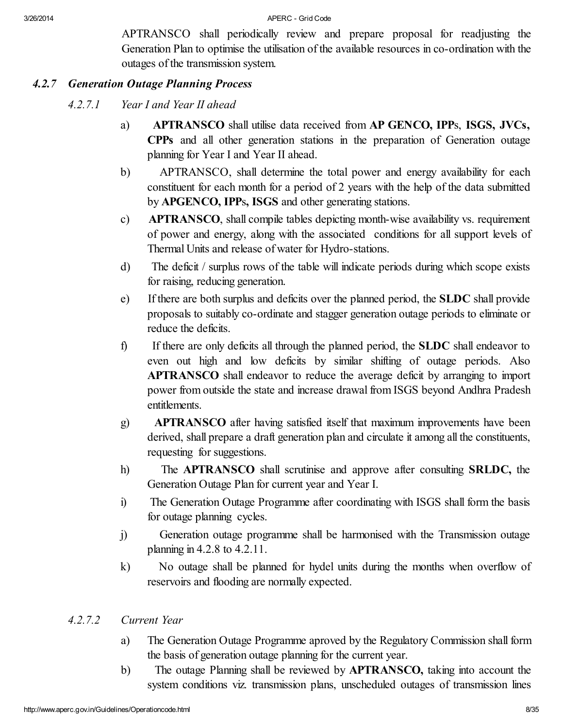APTRANSCO shall periodically review and prepare proposal for readjusting the Generation Plan to optimise the utilisation of the available resources in co-ordination with the outages of the transmission system.

#### *4.2.7 Generation Outage Planning Process*

- *4.2.7.1 Year I and Year II ahead*
	- a) APTRANSCO shall utilise data received from AP GENCO, IPPs, ISGS, JVCs, CPPs and all other generation stations in the preparation of Generation outage planning for Year I and Year II ahead.
	- b) APTRANSCO, shall determine the total power and energy availability for each constituent for each month for a period of 2 years with the help of the data submitted by APGENCO, IPPs, ISGS and other generating stations.
	- c) APTRANSCO, shall compile tables depicting month-wise availability vs. requirement of power and energy, along with the associated conditions for all support levels of Thermal Units and release of water for Hydro-stations.
	- d) The deficit / surplus rows of the table will indicate periods during which scope exists for raising, reducing generation.
	- e) If there are both surplus and deficits over the planned period, the SLDC shall provide proposals to suitably co-ordinate and stagger generation outage periods to eliminate or reduce the deficits.
	- f) If there are only deficits all through the planned period, the SLDC shall endeavor to even out high and low deficits by similar shifting of outage periods. Also APTRANSCO shall endeavor to reduce the average deficit by arranging to import power from outside the state and increase drawal from ISGS beyond Andhra Pradesh entitlements.
	- g) APTRANSCO after having satisfied itself that maximum improvements have been derived, shall prepare a draft generation plan and circulate it among all the constituents, requesting for suggestions.
	- h) The APTRANSCO shall scrutinise and approve after consulting SRLDC, the Generation Outage Plan for current year and Year I.
	- i) The Generation Outage Programme after coordinating with ISGS shall form the basis for outage planning cycles.
	- j) Generation outage programme shall be harmonised with the Transmission outage planning in 4.2.8 to 4.2.11.
	- k) No outage shall be planned for hydel units during the months when overflow of reservoirs and flooding are normally expected.

### *4.2.7.2 Current Year*

- a) The Generation Outage Programme aproved by the Regulatory Commission shall form the basis of generation outage planning for the current year.
- b) The outage Planning shall be reviewed by APTRANSCO, taking into account the system conditions viz. transmission plans, unscheduled outages of transmission lines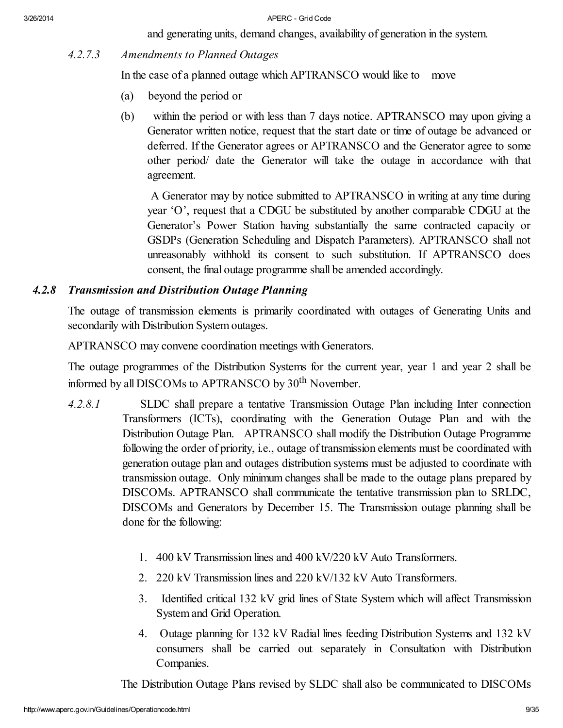and generating units, demand changes, availability of generation in the system.

*4.2.7.3 Amendments to Planned Outages*

In the case of a planned outage which APTRANSCO would like to move

- (a) beyond the period or
- (b) within the period or with less than 7 days notice. APTRANSCO may upon giving a Generator written notice, request that the start date or time of outage be advanced or deferred. If the Generator agrees or APTRANSCO and the Generator agree to some other period/ date the Generator will take the outage in accordance with that agreement.

A Generator may by notice submitted to APTRANSCO in writing at any time during year 'O', request that a CDGU be substituted by another comparable CDGU at the Generator's Power Station having substantially the same contracted capacity or GSDPs (Generation Scheduling and Dispatch Parameters). APTRANSCO shall not unreasonably withhold its consent to such substitution. If APTRANSCO does consent, the final outage programme shall be amended accordingly.

# *4.2.8 Transmission and Distribution Outage Planning*

The outage of transmission elements is primarily coordinated with outages of Generating Units and secondarily with Distribution System outages.

APTRANSCO may convene coordination meetings with Generators.

The outage programmes of the Distribution Systems for the current year, year 1 and year 2 shall be informed by all DISCOMs to APTRANSCO by 30<sup>th</sup> November.

- *4.2.8.1* SLDC shall prepare a tentative Transmission Outage Plan including Inter connection Transformers (ICTs), coordinating with the Generation Outage Plan and with the Distribution Outage Plan. APTRANSCO shall modify the Distribution Outage Programme following the order of priority, i.e., outage of transmission elements must be coordinated with generation outage plan and outages distribution systems must be adjusted to coordinate with transmission outage. Only minimum changes shall be made to the outage plans prepared by DISCOMs. APTRANSCO shall communicate the tentative transmission plan to SRLDC, DISCOMs and Generators by December 15. The Transmission outage planning shall be done for the following:
	- 1. 400 kV Transmission lines and 400 kV/220 kV Auto Transformers.
	- 2. 220 kV Transmission lines and 220 kV/132 kV Auto Transformers.
	- 3. Identified critical 132 kV grid lines of State System which will affect Transmission System and Grid Operation.
	- 4. Outage planning for 132 kV Radial lines feeding Distribution Systems and 132 kV consumers shall be carried out separately in Consultation with Distribution Companies.

The Distribution Outage Plans revised by SLDC shall also be communicated to DISCOMs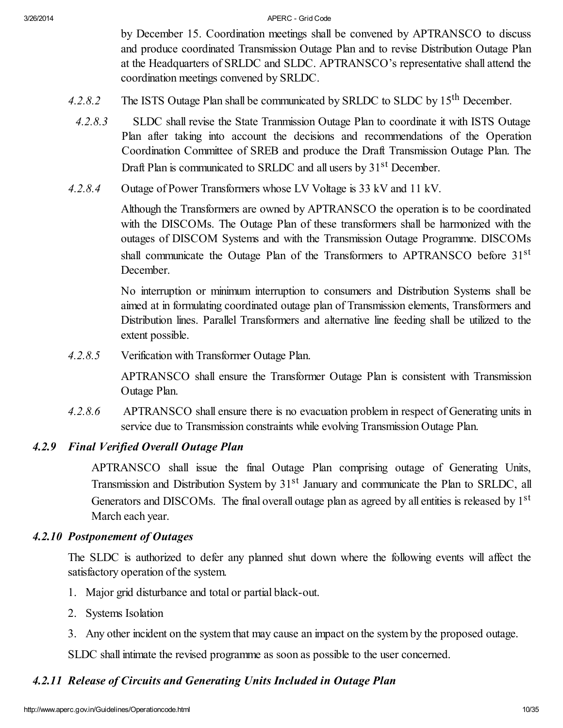by December 15. Coordination meetings shall be convened by APTRANSCO to discuss and produce coordinated Transmission Outage Plan and to revise Distribution Outage Plan at the Headquarters of SRLDC and SLDC. APTRANSCO's representative shall attend the coordination meetings convened by SRLDC.

- 4.2.8.2 The ISTS Outage Plan shall be communicated by SRLDC to SLDC by 15<sup>th</sup> December.
- *4.2.8.3* SLDC shall revise the State Tranmission Outage Plan to coordinate it with ISTS Outage Plan after taking into account the decisions and recommendations of the Operation Coordination Committee of SREB and produce the Draft Transmission Outage Plan. The Draft Plan is communicated to SRLDC and all users by 31<sup>st</sup> December.
- *4.2.8.4* Outage of Power Transformers whose LV Voltage is 33 kV and 11 kV.

Although the Transformers are owned by APTRANSCO the operation is to be coordinated with the DISCOMs. The Outage Plan of these transformers shall be harmonized with the outages of DISCOM Systems and with the Transmission Outage Programme. DISCOMs shall communicate the Outage Plan of the Transformers to APTRANSCO before 31<sup>st</sup> December.

No interruption or minimum interruption to consumers and Distribution Systems shall be aimed at in formulating coordinated outage plan of Transmission elements, Transformers and Distribution lines. Parallel Transformers and alternative line feeding shall be utilized to the extent possible.

*4.2.8.5* Verification with Transformer Outage Plan.

APTRANSCO shall ensure the Transformer Outage Plan is consistent with Transmission Outage Plan.

*4.2.8.6* APTRANSCO shall ensure there is no evacuation problem in respect of Generating units in service due to Transmission constraints while evolving Transmission Outage Plan.

### *4.2.9 Final Verified Overall Outage Plan*

APTRANSCO shall issue the final Outage Plan comprising outage of Generating Units, Transmission and Distribution System by 31<sup>st</sup> January and communicate the Plan to SRLDC, all Generators and DISCOMs. The final overall outage plan as agreed by all entities is released by  $1<sup>st</sup>$ March each year.

#### *4.2.10 Postponement of Outages*

The SLDC is authorized to defer any planned shut down where the following events will affect the satisfactory operation of the system.

- 1. Major grid disturbance and total or partial black-out.
- 2. Systems Isolation
- 3. Any other incident on the system that may cause an impact on the system by the proposed outage.

SLDC shall intimate the revised programme as soon as possible to the user concerned.

### *4.2.11 Release of Circuits and Generating Units Included in Outage Plan*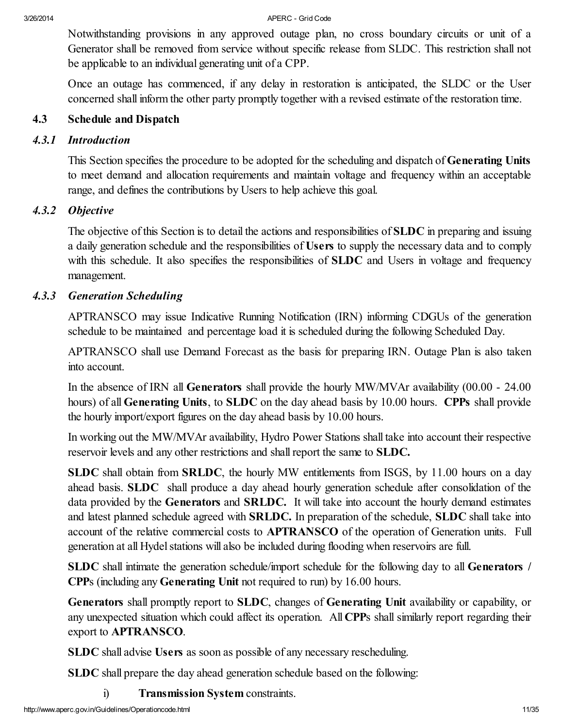Notwithstanding provisions in any approved outage plan, no cross boundary circuits or unit of a Generator shall be removed from service without specific release from SLDC. This restriction shall not be applicable to an individual generating unit of a CPP.

Once an outage has commenced, if any delay in restoration is anticipated, the SLDC or the User concerned shall inform the other party promptly together with a revised estimate of the restoration time.

# 4.3 Schedule and Dispatch

### *4.3.1 Introduction*

This Section specifies the procedure to be adopted for the scheduling and dispatch of Generating Units to meet demand and allocation requirements and maintain voltage and frequency within an acceptable range, and defines the contributions by Users to help achieve this goal.

# *4.3.2 Objective*

The objective of this Section is to detail the actions and responsibilities of SLDC in preparing and issuing a daily generation schedule and the responsibilities of Users to supply the necessary data and to comply with this schedule. It also specifies the responsibilities of **SLDC** and Users in voltage and frequency management.

# *4.3.3 Generation Scheduling*

APTRANSCO may issue Indicative Running Notification (IRN) informing CDGUs of the generation schedule to be maintained and percentage load it is scheduled during the following Scheduled Day.

APTRANSCO shall use Demand Forecast as the basis for preparing IRN. Outage Plan is also taken into account.

In the absence of IRN all Generators shall provide the hourly MW/MVAr availability (00.00 - 24.00 hours) of all **Generating Units**, to **SLDC** on the day ahead basis by 10.00 hours. **CPPs** shall provide the hourly import/export figures on the day ahead basis by 10.00 hours.

In working out the MW/MVAr availability, Hydro Power Stations shall take into account their respective reservoir levels and any other restrictions and shall report the same to SLDC.

SLDC shall obtain from SRLDC, the hourly MW entitlements from ISGS, by 11.00 hours on a day ahead basis. SLDC shall produce a day ahead hourly generation schedule after consolidation of the data provided by the Generators and SRLDC. It will take into account the hourly demand estimates and latest planned schedule agreed with SRLDC. In preparation of the schedule, SLDC shall take into account of the relative commercial costs to APTRANSCO of the operation of Generation units. Full generation at all Hydel stations will also be included during flooding when reservoirs are full.

SLDC shall intimate the generation schedule/import schedule for the following day to all Generators / CPPs (including any Generating Unit not required to run) by 16.00 hours.

Generators shall promptly report to SLDC, changes of Generating Unit availability or capability, or any unexpected situation which could affect its operation. All CPPs shall similarly report regarding their export to APTRANSCO.

SLDC shall advise Users as soon as possible of any necessary rescheduling.

SLDC shall prepare the day ahead generation schedule based on the following:

i) Transmission System constraints.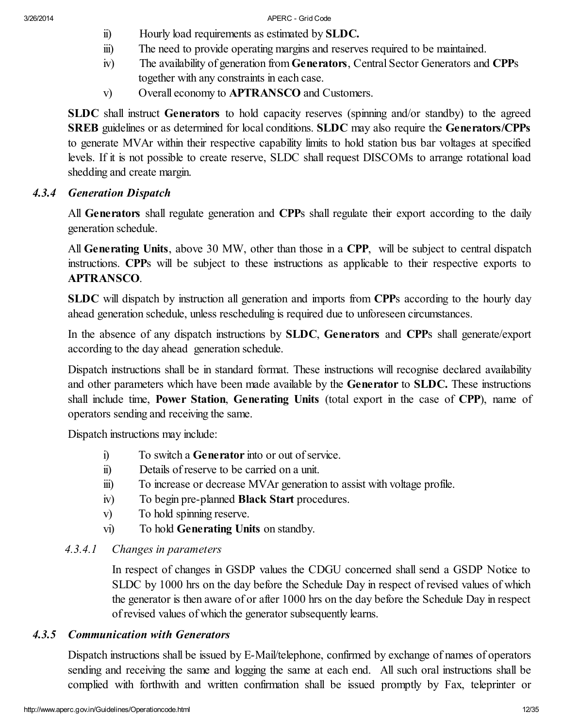- ii) Hourly load requirements as estimated by SLDC.
- iii) The need to provide operating margins and reserves required to be maintained.
- iv) The availability of generation from Generators, Central Sector Generators and CPPs together with any constraints in each case.
- v) Overall economy to APTRANSCO and Customers.

SLDC shall instruct Generators to hold capacity reserves (spinning and/or standby) to the agreed SREB guidelines or as determined for local conditions. SLDC may also require the Generators/CPPs to generate MVAr within their respective capability limits to hold station bus bar voltages at specified levels. If it is not possible to create reserve, SLDC shall request DISCOMs to arrange rotational load shedding and create margin.

### *4.3.4 Generation Dispatch*

All Generators shall regulate generation and CPPs shall regulate their export according to the daily generation schedule.

All Generating Units, above 30 MW, other than those in a CPP, will be subject to central dispatch instructions. CPPs will be subject to these instructions as applicable to their respective exports to APTRANSCO.

SLDC will dispatch by instruction all generation and imports from CPPs according to the hourly day ahead generation schedule, unless rescheduling is required due to unforeseen circumstances.

In the absence of any dispatch instructions by **SLDC**, **Generators** and **CPP**s shall generate/export according to the day ahead generation schedule.

Dispatch instructions shall be in standard format. These instructions will recognise declared availability and other parameters which have been made available by the Generator to SLDC. These instructions shall include time, Power Station, Generating Units (total export in the case of CPP), name of operators sending and receiving the same.

Dispatch instructions may include:

- i) To switch a **Generator** into or out of service.
- ii) Details of reserve to be carried on a unit.
- iii) To increase or decrease MVAr generation to assist with voltage profile.
- iv) To begin pre-planned Black Start procedures.
- v) To hold spinning reserve.
- vi) To hold Generating Units on standby.

### *4.3.4.1 Changes in parameters*

In respect of changes in GSDP values the CDGU concerned shall send a GSDP Notice to SLDC by 1000 hrs on the day before the Schedule Day in respect of revised values of which the generator is then aware of or after 1000 hrs on the day before the Schedule Day in respect of revised values of which the generator subsequently learns.

### *4.3.5 Communication with Generators*

Dispatch instructions shall be issued by E-Mail/telephone, confirmed by exchange of names of operators sending and receiving the same and logging the same at each end. All such oral instructions shall be complied with forthwith and written confirmation shall be issued promptly by Fax, teleprinter or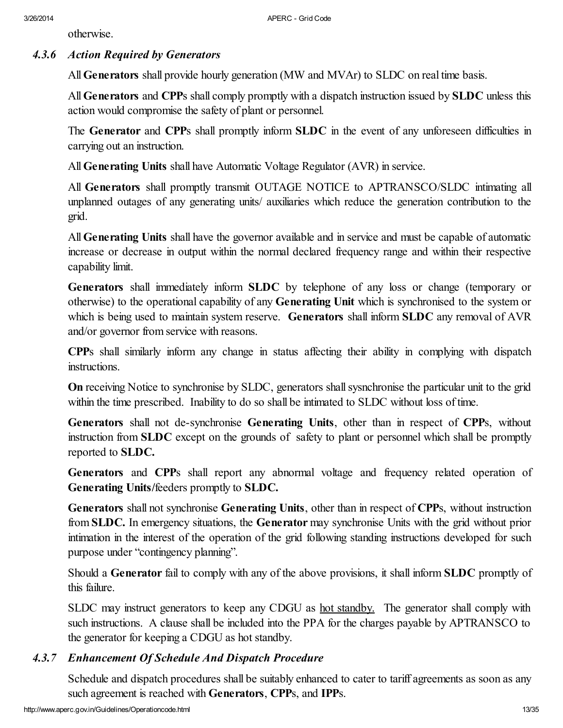otherwise.

# *4.3.6 Action Required by Generators*

All Generators shall provide hourly generation (MW and MVAr) to SLDC on real time basis.

All Generators and CPPs shall comply promptly with a dispatch instruction issued by SLDC unless this action would compromise the safety of plant or personnel.

The Generator and CPPs shall promptly inform SLDC in the event of any unforeseen difficulties in carrying out an instruction.

All Generating Units shall have Automatic Voltage Regulator (AVR) in service.

All Generators shall promptly transmit OUTAGE NOTICE to APTRANSCO/SLDC intimating all unplanned outages of any generating units/ auxiliaries which reduce the generation contribution to the grid.

All Generating Units shall have the governor available and in service and must be capable of automatic increase or decrease in output within the normal declared frequency range and within their respective capability limit.

Generators shall immediately inform SLDC by telephone of any loss or change (temporary or otherwise) to the operational capability of any Generating Unit which is synchronised to the system or which is being used to maintain system reserve. Generators shall inform **SLDC** any removal of AVR and/or governor from service with reasons.

CPPs shall similarly inform any change in status affecting their ability in complying with dispatch instructions.

On receiving Notice to synchronise by SLDC, generators shall sysnchronise the particular unit to the grid within the time prescribed. Inability to do so shall be intimated to SLDC without loss of time.

Generators shall not de-synchronise Generating Units, other than in respect of CPPs, without instruction from SLDC except on the grounds of safety to plant or personnel which shall be promptly reported to SLDC.

Generators and CPPs shall report any abnormal voltage and frequency related operation of Generating Units/feeders promptly to SLDC.

Generators shall not synchronise Generating Units, other than in respect of CPPs, without instruction from SLDC. In emergency situations, the Generator may synchronise Units with the grid without prior intimation in the interest of the operation of the grid following standing instructions developed for such purpose under "contingency planning".

Should a Generator fail to comply with any of the above provisions, it shall inform SLDC promptly of this failure.

SLDC may instruct generators to keep any CDGU as <u>hot standby.</u> The generator shall comply with such instructions. A clause shall be included into the PPA for the charges payable by APTRANSCO to the generator for keeping a CDGU as hot standby.

# *4.3.7 Enhancement Of Schedule And Dispatch Procedure*

Schedule and dispatch procedures shall be suitably enhanced to cater to tariff agreements as soon as any such agreement is reached with Generators, CPPs, and IPPs.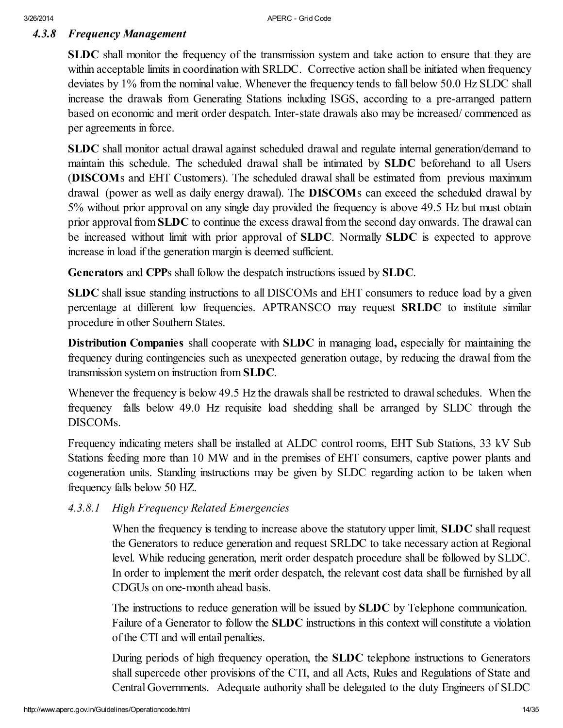# *4.3.8 Frequency Management*

SLDC shall monitor the frequency of the transmission system and take action to ensure that they are within acceptable limits in coordination with SRLDC. Corrective action shall be initiated when frequency deviates by 1% from the nominal value. Whenever the frequency tends to fall below 50.0 Hz SLDC shall increase the drawals from Generating Stations including ISGS, according to a pre-arranged pattern based on economic and merit order despatch. Inter-state drawals also may be increased/ commenced as per agreements in force.

SLDC shall monitor actual drawal against scheduled drawal and regulate internal generation/demand to maintain this schedule. The scheduled drawal shall be intimated by SLDC beforehand to all Users (DISCOMs and EHT Customers). The scheduled drawal shall be estimated from previous maximum drawal (power as well as daily energy drawal). The DISCOMs can exceed the scheduled drawal by 5% without prior approval on any single day provided the frequency is above 49.5 Hz but must obtain prior approval from  $SLDC$  to continue the excess drawal from the second day onwards. The drawal can be increased without limit with prior approval of **SLDC**. Normally **SLDC** is expected to approve increase in load if the generation margin is deemed sufficient.

Generators and CPPs shall follow the despatch instructions issued by SLDC.

SLDC shall issue standing instructions to all DISCOMs and EHT consumers to reduce load by a given percentage at different low frequencies. APTRANSCO may request SRLDC to institute similar procedure in other Southern States.

Distribution Companies shall cooperate with SLDC in managing load, especially for maintaining the frequency during contingencies such as unexpected generation outage, by reducing the drawal from the transmission system on instruction from SLDC.

Whenever the frequency is below 49.5 Hz the drawals shall be restricted to drawal schedules. When the frequency falls below 49.0 Hz requisite load shedding shall be arranged by SLDC through the DISCOMs.

Frequency indicating meters shall be installed at ALDC control rooms, EHT Sub Stations, 33 kV Sub Stations feeding more than 10 MW and in the premises of EHT consumers, captive power plants and cogeneration units. Standing instructions may be given by SLDC regarding action to be taken when frequency falls below 50 HZ.

*4.3.8.1 High Frequency Related Emergencies*

When the frequency is tending to increase above the statutory upper limit, **SLDC** shall request the Generators to reduce generation and request SRLDC to take necessary action at Regional level. While reducing generation, merit order despatch procedure shall be followed by SLDC. In order to implement the merit order despatch, the relevant cost data shall be furnished by all CDGUs on one-month ahead basis.

The instructions to reduce generation will be issued by **SLDC** by Telephone communication. Failure of a Generator to follow the SLDC instructions in this context will constitute a violation of the CTI and will entail penalties.

During periods of high frequency operation, the SLDC telephone instructions to Generators shall supercede other provisions of the CTI, and all Acts, Rules and Regulations of State and Central Governments. Adequate authority shall be delegated to the duty Engineers of SLDC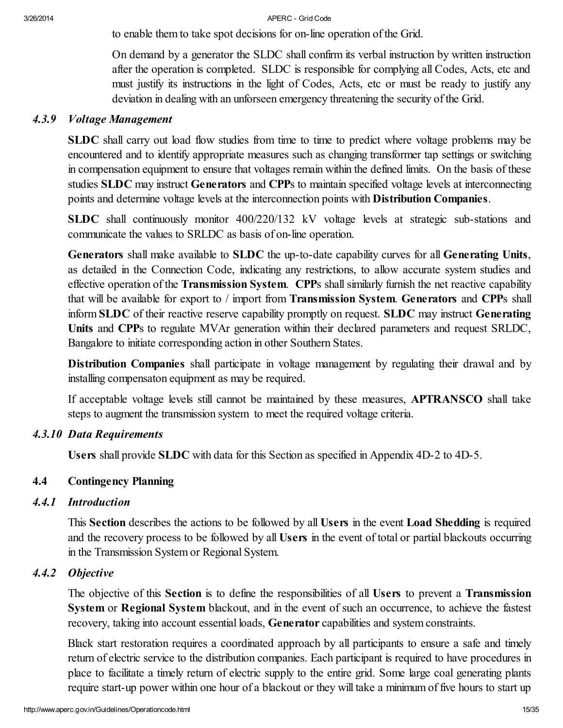to enable them to take spot decisions for on-line operation of the Grid.

On demand by a generator the SLDC shall confirm its verbal instruction by written instruction after the operation is completed. SLDC is responsible for complying all Codes, Acts, etc and must justify its instructions in the light of Codes, Acts, etc or must be ready to justify any deviation in dealing with an unforseen emergency threatening the security of the Grid.

#### *4.3.9 Voltage Management*

SLDC shall carry out load flow studies from time to time to predict where voltage problems may be encountered and to identify appropriate measures such as changing transformer tap settings or switching in compensation equipment to ensure that voltages remain within the defined limits. On the basis of these studies SLDC may instruct Generators and CPPs to maintain specified voltage levels at interconnecting points and determine voltage levels at the interconnection points with Distribution Companies.

SLDC shall continuously monitor 400/220/132 kV voltage levels at strategic sub-stations and communicate the values to SRLDC as basis of on-line operation.

Generators shall make available to SLDC the up-to-date capability curves for all Generating Units, as detailed in the Connection Code, indicating any restrictions, to allow accurate system studies and effective operation of the Transmission System. CPPs shall similarly furnish the net reactive capability that will be available for export to / import from Transmission System. Generators and CPPs shall inform SLDC of their reactive reserve capability promptly on request. SLDC may instruct Generating Units and CPPs to regulate MVAr generation within their declared parameters and request SRLDC, Bangalore to initiate corresponding action in other Southern States.

Distribution Companies shall participate in voltage management by regulating their drawal and by installing compensaton equipment as may be required.

If acceptable voltage levels still cannot be maintained by these measures, APTRANSCO shall take steps to augment the transmission system to meet the required voltage criteria.

### *4.3.10 Data Requirements*

Users shall provide SLDC with data for this Section as specified in Appendix 4D-2 to 4D-5.

#### 4.4 Contingency Planning

### *4.4.1 Introduction*

This Section describes the actions to be followed by all Users in the event Load Shedding is required and the recovery process to be followed by all Users in the event of total or partial blackouts occurring in the Transmission System or Regional System.

#### *4.4.2 Objective*

The objective of this Section is to define the responsibilities of all Users to prevent a Transmission System or Regional System blackout, and in the event of such an occurrence, to achieve the fastest recovery, taking into account essential loads, **Generator** capabilities and system constraints.

Black start restoration requires a coordinated approach by all participants to ensure a safe and timely return of electric service to the distribution companies. Each participant is required to have procedures in place to facilitate a timely return of electric supply to the entire grid. Some large coal generating plants require start-up power within one hour of a blackout or they will take a minimum of five hours to start up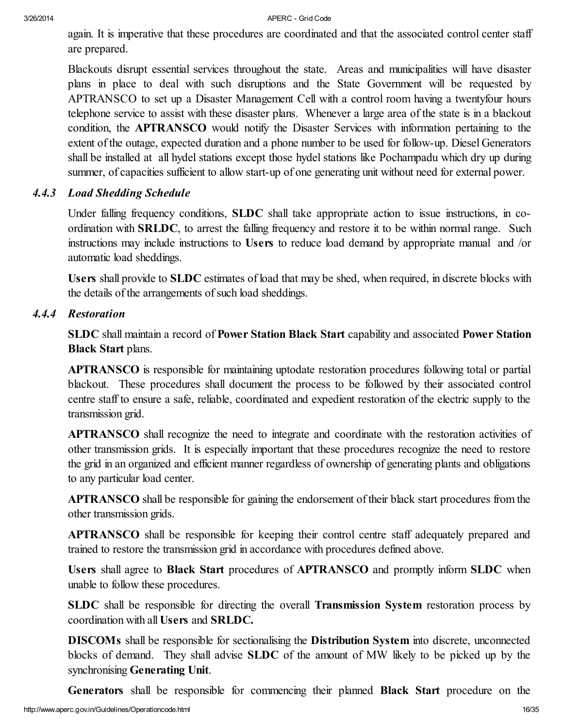again. It is imperative that these procedures are coordinated and that the associated control center staff are prepared.

Blackouts disrupt essential services throughout the state. Areas and municipalities will have disaster plans in place to deal with such disruptions and the State Government will be requested by APTRANSCO to set up a Disaster Management Cell with a control room having a twentyfour hours telephone service to assist with these disaster plans. Whenever a large area of the state is in a blackout condition, the **APTRANSCO** would notify the Disaster Services with information pertaining to the extent of the outage, expected duration and a phone number to be used for follow-up. Diesel Generators shall be installed at all hydel stations except those hydel stations like Pochampadu which dry up during summer, of capacities sufficient to allow start-up of one generating unit without need for external power.

### *4.4.3 Load Shedding Schedule*

Under falling frequency conditions, SLDC shall take appropriate action to issue instructions, in coordination with SRLDC, to arrest the falling frequency and restore it to be within normal range. Such instructions may include instructions to Users to reduce load demand by appropriate manual and /or automatic load sheddings.

Users shall provide to SLDC estimates of load that may be shed, when required, in discrete blocks with the details of the arrangements of such load sheddings.

#### *4.4.4 Restoration*

SLDC shall maintain a record of Power Station Black Start capability and associated Power Station Black Start plans.

APTRANSCO is responsible for maintaining uptodate restoration procedures following total or partial blackout. These procedures shall document the process to be followed by their associated control centre staff to ensure a safe, reliable, coordinated and expedient restoration of the electric supply to the transmission grid.

APTRANSCO shall recognize the need to integrate and coordinate with the restoration activities of other transmission grids. It is especially important that these procedures recognize the need to restore the grid in an organized and efficient manner regardless of ownership of generating plants and obligations to any particular load center.

APTRANSCO shall be responsible for gaining the endorsement of their black start procedures from the other transmission grids.

APTRANSCO shall be responsible for keeping their control centre staff adequately prepared and trained to restore the transmission grid in accordance with procedures defined above.

Users shall agree to Black Start procedures of APTRANSCO and promptly inform SLDC when unable to follow these procedures.

SLDC shall be responsible for directing the overall Transmission System restoration process by coordination with all Users and SRLDC.

DISCOMs shall be responsible for sectionalising the Distribution System into discrete, unconnected blocks of demand. They shall advise SLDC of the amount of MW likely to be picked up by the synchronising Generating Unit.

Generators shall be responsible for commencing their planned Black Start procedure on the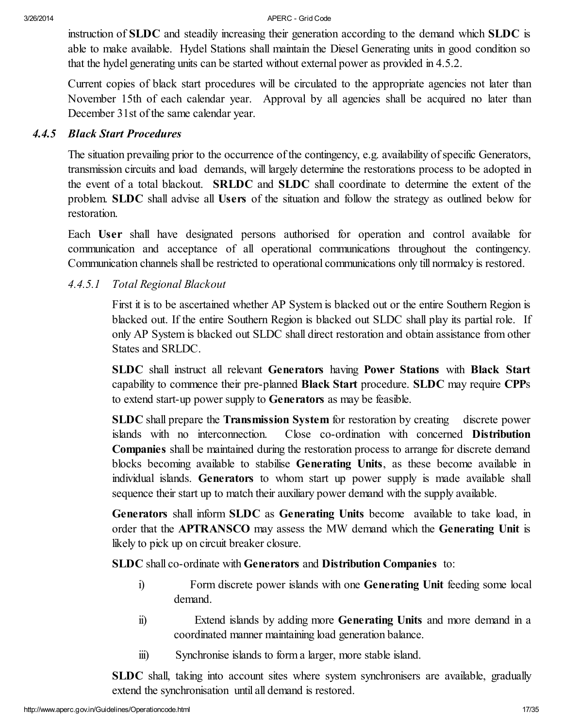instruction of SLDC and steadily increasing their generation according to the demand which SLDC is able to make available. Hydel Stations shall maintain the Diesel Generating units in good condition so that the hydel generating units can be started without external power as provided in 4.5.2.

Current copies of black start procedures will be circulated to the appropriate agencies not later than November 15th of each calendar year. Approval by all agencies shall be acquired no later than December 31st of the same calendar year.

#### *4.4.5 Black Start Procedures*

The situation prevailing prior to the occurrence of the contingency, e.g. availability of specific Generators, transmission circuits and load demands, will largely determine the restorations process to be adopted in the event of a total blackout. SRLDC and SLDC shall coordinate to determine the extent of the problem. SLDC shall advise all Users of the situation and follow the strategy as outlined below for restoration.

Each User shall have designated persons authorised for operation and control available for communication and acceptance of all operational communications throughout the contingency. Communication channels shall be restricted to operational communications only till normalcy is restored.

### *4.4.5.1 Total Regional Blackout*

First it is to be ascertained whether AP System is blacked out or the entire Southern Region is blacked out. If the entire Southern Region is blacked out SLDC shall play its partial role. If only AP System is blacked out SLDC shall direct restoration and obtain assistance from other States and SRLDC.

SLDC shall instruct all relevant Generators having Power Stations with Black Start capability to commence their pre-planned Black Start procedure. SLDC may require CPPs to extend start-up power supply to Generators as may be feasible.

SLDC shall prepare the Transmission System for restoration by creating discrete power islands with no interconnection. Close co-ordination with concerned Distribution Companies shall be maintained during the restoration process to arrange for discrete demand blocks becoming available to stabilise Generating Units, as these become available in individual islands. Generators to whom start up power supply is made available shall sequence their start up to match their auxiliary power demand with the supply available.

Generators shall inform SLDC as Generating Units become available to take load, in order that the APTRANSCO may assess the MW demand which the Generating Unit is likely to pick up on circuit breaker closure.

SLDC shall co-ordinate with Generators and Distribution Companies to:

- i) Form discrete power islands with one Generating Unit feeding some local demand.
- ii) Extend islands by adding more Generating Units and more demand in a coordinated manner maintaining load generation balance.
- iii) Synchronise islands to form a larger, more stable island.

SLDC shall, taking into account sites where system synchronisers are available, gradually extend the synchronisation until all demand is restored.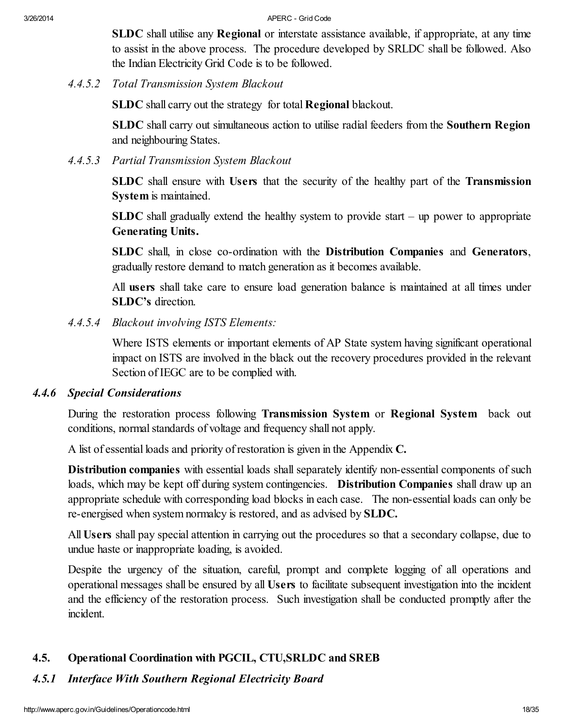SLDC shall utilise any Regional or interstate assistance available, if appropriate, at any time to assist in the above process. The procedure developed by SRLDC shall be followed. Also the Indian Electricity Grid Code is to be followed.

*4.4.5.2 Total Transmission System Blackout*

SLDC shall carry out the strategy for total **Regional** blackout.

SLDC shall carry out simultaneous action to utilise radial feeders from the Southern Region and neighbouring States.

*4.4.5.3 Partial Transmission System Blackout*

SLDC shall ensure with Users that the security of the healthy part of the Transmission System is maintained.

SLDC shall gradually extend the healthy system to provide start  $-$  up power to appropriate Generating Units.

SLDC shall, in close co-ordination with the Distribution Companies and Generators, gradually restore demand to match generation as it becomes available.

All users shall take care to ensure load generation balance is maintained at all times under SLDC's direction.

*4.4.5.4 Blackout involving ISTS Elements:*

Where ISTS elements or important elements of AP State system having significant operational impact on ISTS are involved in the black out the recovery procedures provided in the relevant Section of IEGC are to be complied with.

### *4.4.6 Special Considerations*

During the restoration process following Transmission System or Regional System back out conditions, normal standards of voltage and frequency shall not apply.

A list of essential loads and priority of restoration is given in the Appendix C.

Distribution companies with essential loads shall separately identify non-essential components of such loads, which may be kept off during system contingencies. **Distribution Companies** shall draw up an appropriate schedule with corresponding load blocks in each case. The non-essential loads can only be re-energised when system normalcy is restored, and as advised by SLDC.

All Users shall pay special attention in carrying out the procedures so that a secondary collapse, due to undue haste or inappropriate loading, is avoided.

Despite the urgency of the situation, careful, prompt and complete logging of all operations and operational messages shall be ensured by all Users to facilitate subsequent investigation into the incident and the efficiency of the restoration process. Such investigation shall be conducted promptly after the incident.

# 4.5. Operational Coordination with PGCIL, CTU,SRLDC and SREB

# *4.5.1 Interface With Southern Regional Electricity Board*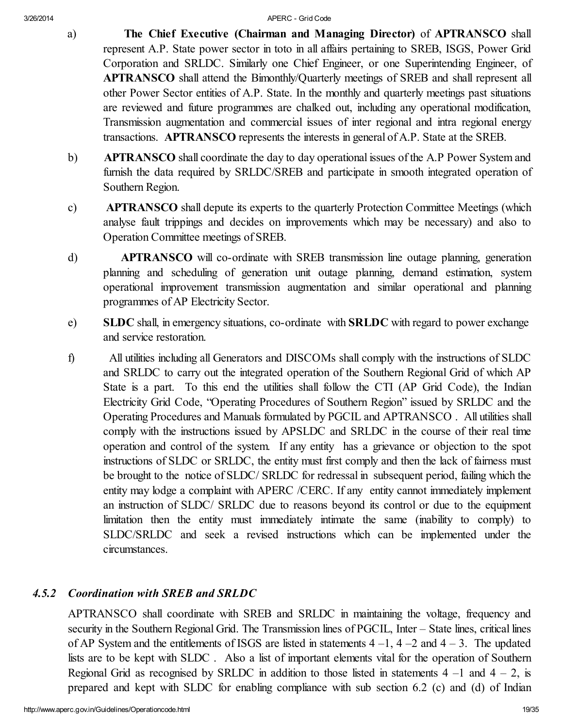- a) The Chief Executive (Chairman and Managing Director) of **APTRANSCO** shall represent A.P. State power sector in toto in all affairs pertaining to SREB, ISGS, Power Grid Corporation and SRLDC. Similarly one Chief Engineer, or one Superintending Engineer, of **APTRANSCO** shall attend the Bimonthly/Quarterly meetings of SREB and shall represent all other Power Sector entities of A.P. State. In the monthly and quarterly meetings past situations are reviewed and future programmes are chalked out, including any operational modification, Transmission augmentation and commercial issues of inter regional and intra regional energy transactions. **APTRANSCO** represents the interests in general of A.P. State at the SREB.
- b) **APTRANSCO** shall coordinate the day to day operational issues of the A.P Power System and furnish the data required by SRLDC/SREB and participate in smooth integrated operation of Southern Region.
- c) **APTRANSCO** shall depute its experts to the quarterly Protection Committee Meetings (which analyse fault trippings and decides on improvements which may be necessary) and also to Operation Committee meetings of SREB.
- d) **APTRANSCO** will co-ordinate with SREB transmission line outage planning, generation planning and scheduling of generation unit outage planning, demand estimation, system operational improvement transmission augmentation and similar operational and planning programmes of AP Electricity Sector.
- e) SLDC shall, in emergency situations, co-ordinate with SRLDC with regard to power exchange and service restoration.
- f) All utilities including all Generators and DISCOMs shall comply with the instructions of SLDC and SRLDC to carry out the integrated operation of the Southern Regional Grid of which AP State is a part. To this end the utilities shall follow the CTI (AP Grid Code), the Indian Electricity Grid Code, "Operating Procedures of Southern Region" issued by SRLDC and the Operating Procedures and Manuals formulated by PGCIL and APTRANSCO . All utilities shall comply with the instructions issued by APSLDC and SRLDC in the course of their real time operation and control of the system. If any entity has a grievance or objection to the spot instructions of SLDC or SRLDC, the entity must first comply and then the lack of fairness must be brought to the notice of SLDC/ SRLDC for redressal in subsequent period, failing which the entity may lodge a complaint with APERC /CERC. If any entity cannot immediately implement an instruction of SLDC/ SRLDC due to reasons beyond its control or due to the equipment limitation then the entity must immediately intimate the same (inability to comply) to SLDC/SRLDC and seek a revised instructions which can be implemented under the circumstances.

# *4.5.2 Coordination with SREB and SRLDC*

APTRANSCO shall coordinate with SREB and SRLDC in maintaining the voltage, frequency and security in the Southern Regional Grid. The Transmission lines of PGCIL, Inter – State lines, critical lines of AP System and the entitlements of ISGS are listed in statements  $4-1$ ,  $4-2$  and  $4-3$ . The updated lists are to be kept with SLDC . Also a list of important elements vital for the operation of Southern Regional Grid as recognised by SRLDC in addition to those listed in statements  $4 - 1$  and  $4 - 2$ , is prepared and kept with SLDC for enabling compliance with sub section 6.2 (c) and (d) of Indian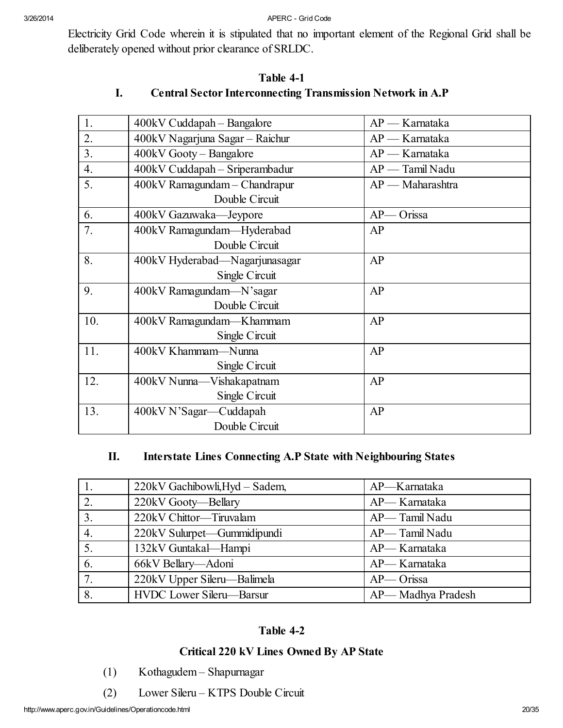Electricity Grid Code wherein it is stipulated that no important element of the Regional Grid shall be deliberately opened without prior clearance of SRLDC.

| 1.  | $400kV$ Cuddapah – Bangalore    | $AP -$ Karnataka   |
|-----|---------------------------------|--------------------|
| 2.  | 400kV Nagarjuna Sagar - Raichur | AP — Karnataka     |
| 3.  | 400kV Gooty - Bangalore         | $AP -$ Karnataka   |
| 4.  | 400kV Cuddapah - Sriperambadur  | AP — Tamil Nadu    |
| 5.  | 400kV Ramagundam - Chandrapur   | $AP$ - Maharashtra |
|     | Double Circuit                  |                    |
| 6.  | 400kV Gazuwaka—Jeypore          | Orissa<br>$AP-$    |
| 7.  | 400kV Ramagundam-Hyderabad      | AP                 |
|     | Double Circuit                  |                    |
| 8.  | 400kV Hyderabad-Nagarjunasagar  | AP                 |
|     | Single Circuit                  |                    |
| 9.  | 400kV Ramagundam—N'sagar        | AP                 |
|     | Double Circuit                  |                    |
| 10. | 400kV Ramagundam—Khammam        | AP                 |
|     | Single Circuit                  |                    |
| 11. | 400kV Khammam—Nunna             | AP                 |
|     | Single Circuit                  |                    |
| 12. | 400kV Nunna-Vishakapatnam       | AP                 |
|     | Single Circuit                  |                    |
| 13. | 400kV N'Sagar-Cuddapah          | AP                 |
|     | Double Circuit                  |                    |

### Table 4-1 I. Central Sector Interconnecting Transmission Network in A.P

# II. Interstate Lines Connecting A.P State with Neighbouring States

|                  | 220kV Gachibowli, Hyd - Sadem, | AP-Karnataka      |
|------------------|--------------------------------|-------------------|
| 2.               | 220kV Gooty-Bellary            | AP-Karnataka      |
| $\overline{3}$ . | 220kV Chittor-Tiruvalam        | AP-Tamil Nadu     |
| $\overline{4}$ . | 220kV Sulurpet—Gummidipundi    | AP— Tamil Nadu    |
| 5.               | 132kV Guntakal-Hampi           | AP-Karnataka      |
| 6.               | 66kV Bellary-Adoni             | AP-Karnataka      |
| $\overline{7}$ . | 220kV Upper Sileru—Balimela    | AP-Orissa         |
| 8.               | HVDC Lower Sileru-Barsur       | AP-Madhya Pradesh |

# Table 4-2

# Critical 220 kV Lines Owned By AP State

- (1) Kothagudem Shapurnagar
- (2) Lower Sileru KTPS Double Circuit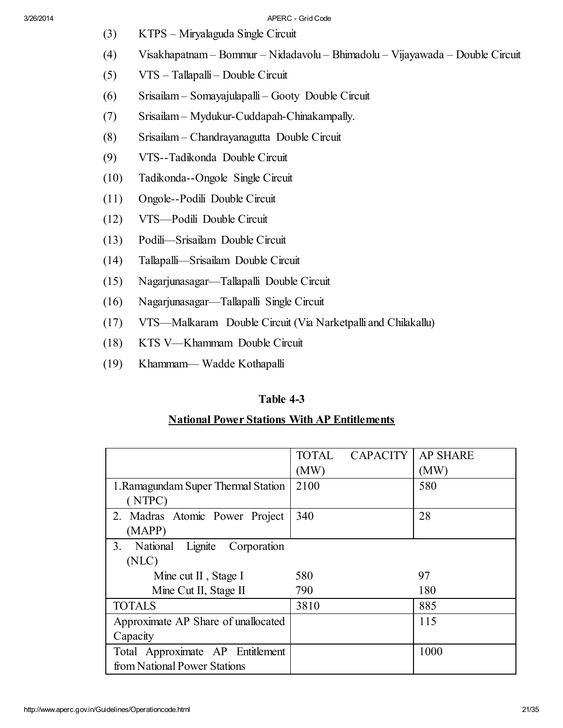- (3) KTPS Miryalaguda Single Circuit
- (4) Visakhapatnam Bommur Nidadavolu Bhimadolu Vijayawada Double Circuit
- (5) VTS Tallapalli Double Circuit
- (6) Srisailam Somayajulapalli Gooty Double Circuit
- (7) Srisailam Mydukur-Cuddapah-Chinakampally.
- (8) Srisailam Chandrayanagutta Double Circuit
- (9) VTS--Tadikonda Double Circuit
- (10) Tadikonda--Ongole Single Circuit
- (11) Ongole--Podili Double Circuit
- (12) VTS—Podili Double Circuit
- (13) Podili—Srisailam Double Circuit
- (14) Tallapalli—Srisailam Double Circuit
- (15) Nagarjunasagar—Tallapalli Double Circuit
- (16) Nagarjunasagar—Tallapalli Single Circuit
- (17) VTS—Malkaram Double Circuit (Via Narketpalli and Chilakallu)
- (18) KTS V—Khammam Double Circuit
- (19) Khammam— Wadde Kothapalli

# Table 4-3

# National Power Stations With AP Entitlements

|                                                      | <b>TOTAL</b> | <b>CAPACITY</b> | <b>AP SHARE</b> |
|------------------------------------------------------|--------------|-----------------|-----------------|
|                                                      | (MW)         |                 | (MW)            |
| 1. Ramagundam Super Thermal Station                  | 2100         |                 | 580             |
| (NTPC)                                               |              |                 |                 |
| 2. Madras Atomic Power Project                       | 340          |                 | 28              |
| (MAPP)                                               |              |                 |                 |
| Corporation<br>3 <sub>1</sub><br>Lignite<br>National |              |                 |                 |
| (NLC)                                                |              |                 |                 |
| Mine cut II, Stage I                                 | 580          |                 | 97              |
| Mine Cut II, Stage II                                | 790          |                 | 180             |
| <b>TOTALS</b>                                        | 3810         |                 | 885             |
| Approximate AP Share of unallocated                  |              |                 | 115             |
| Capacity                                             |              |                 |                 |
| Total Approximate AP Entitlement                     |              |                 | 1000            |
| from National Power Stations                         |              |                 |                 |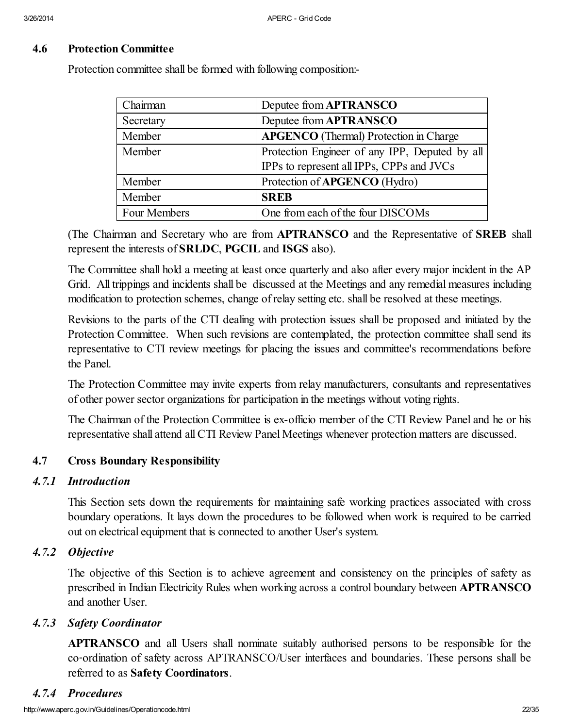#### 4.6 Protection Committee

Protection committee shall be formed with following composition:-

| Chairman     | Deputee from APTRANSCO                         |
|--------------|------------------------------------------------|
| Secretary    | Deputee from APTRANSCO                         |
| Member       | <b>APGENCO</b> (Thermal) Protection in Charge  |
| Member       | Protection Engineer of any IPP, Deputed by all |
|              | IPPs to represent all IPPs, CPPs and JVCs      |
| Member       | Protection of APGENCO (Hydro)                  |
| Member       | <b>SREB</b>                                    |
| Four Members | One from each of the four DISCOMs              |

(The Chairman and Secretary who are from APTRANSCO and the Representative of SREB shall represent the interests of SRLDC, PGCIL and ISGS also).

The Committee shall hold a meeting at least once quarterly and also after every major incident in the AP Grid. All trippings and incidents shall be discussed at the Meetings and any remedial measures including modification to protection schemes, change of relay setting etc. shall be resolved at these meetings.

Revisions to the parts of the CTI dealing with protection issues shall be proposed and initiated by the Protection Committee. When such revisions are contemplated, the protection committee shall send its representative to CTI review meetings for placing the issues and committee's recommendations before the Panel.

The Protection Committee may invite experts from relay manufacturers, consultants and representatives of other power sector organizations for participation in the meetings without voting rights.

The Chairman of the Protection Committee is ex-officio member of the CTI Review Panel and he or his representative shall attend allCTI Review Panel Meetings whenever protection matters are discussed.

#### 4.7 Cross Boundary Responsibility

#### *4.7.1 Introduction*

This Section sets down the requirements for maintaining safe working practices associated with cross boundary operations. It lays down the procedures to be followed when work is required to be carried out on electrical equipment that is connected to another User's system.

#### *4.7.2 Objective*

The objective of this Section is to achieve agreement and consistency on the principles of safety as prescribed in Indian Electricity Rules when working across a control boundary between APTRANSCO and another User.

#### *4.7.3 Safety Coordinator*

APTRANSCO and all Users shall nominate suitably authorised persons to be responsible for the co‑ordination of safety across APTRANSCO/User interfaces and boundaries. These persons shall be referred to as Safety Coordinators.

#### *4.7.4 Procedures*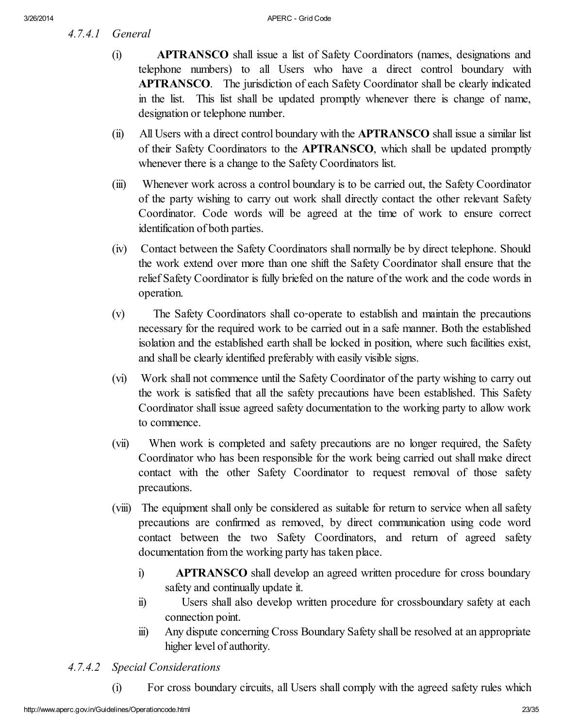*4.7.4.1 General*

- (i) APTRANSCO shall issue a list of Safety Coordinators (names, designations and telephone numbers) to all Users who have a direct control boundary with APTRANSCO. The jurisdiction of each Safety Coordinator shall be clearly indicated in the list. This list shall be updated promptly whenever there is change of name, designation or telephone number.
- (ii) All Users with a direct control boundary with the APTRANSCO shall issue a similar list of their Safety Coordinators to the APTRANSCO, which shall be updated promptly whenever there is a change to the Safety Coordinators list.
- (iii) Whenever work across a control boundary is to be carried out, the Safety Coordinator of the party wishing to carry out work shall directly contact the other relevant Safety Coordinator. Code words will be agreed at the time of work to ensure correct identification of both parties.
- (iv) Contact between the Safety Coordinators shall normally be by direct telephone. Should the work extend over more than one shift the Safety Coordinator shall ensure that the relief Safety Coordinator is fully briefed on the nature of the work and the code words in operation.
- (v) The Safety Coordinators shall co‑operate to establish and maintain the precautions necessary for the required work to be carried out in a safe manner. Both the established isolation and the established earth shall be locked in position, where such facilities exist, and shall be clearly identified preferably with easily visible signs.
- (vi) Work shall not commence until the Safety Coordinator of the party wishing to carry out the work is satisfied that all the safety precautions have been established. This Safety Coordinator shall issue agreed safety documentation to the working party to allow work to commence.
- (vii) When work is completed and safety precautions are no longer required, the Safety Coordinator who has been responsible for the work being carried out shall make direct contact with the other Safety Coordinator to request removal of those safety precautions.
- (viii) The equipment shall only be considered as suitable for return to service when all safety precautions are confirmed as removed, by direct communication using code word contact between the two Safety Coordinators, and return of agreed safety documentation from the working party has taken place.
	- i) APTRANSCO shall develop an agreed written procedure for cross boundary safety and continually update it.
	- ii) Users shall also develop written procedure for crossboundary safety at each connection point.
	- iii) Any dispute concerning Cross Boundary Safety shall be resolved at an appropriate higher level of authority.

# *4.7.4.2 Special Considerations*

(i) For cross boundary circuits, all Users shall comply with the agreed safety rules which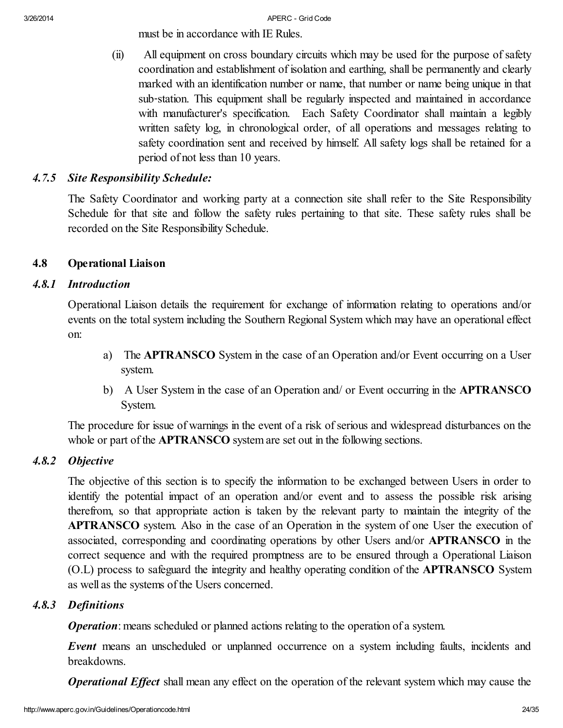must be in accordance with IE Rules.

(ii) All equipment on cross boundary circuits which may be used for the purpose of safety coordination and establishment of isolation and earthing, shall be permanently and clearly marked with an identification number or name, that number or name being unique in that sub‑station. This equipment shall be regularly inspected and maintained in accordance with manufacturer's specification. Each Safety Coordinator shall maintain a legibly written safety log, in chronological order, of all operations and messages relating to safety coordination sent and received by himself. All safety logs shall be retained for a period of not less than 10 years.

# *4.7.5 Site Responsibility Schedule:*

The Safety Coordinator and working party at a connection site shall refer to the Site Responsibility Schedule for that site and follow the safety rules pertaining to that site. These safety rules shall be recorded on the Site Responsibility Schedule.

### 4.8 Operational Liaison

### *4.8.1 Introduction*

Operational Liaison details the requirement for exchange of information relating to operations and/or events on the total system including the Southern Regional System which may have an operational effect on:

- a) The APTRANSCO System in the case of an Operation and/or Event occurring on a User system.
- b) A User System in the case of an Operation and/ or Event occurring in the APTRANSCO System.

The procedure for issue of warnings in the event of a risk of serious and widespread disturbances on the whole or part of the **APTRANSCO** system are set out in the following sections.

### *4.8.2 Objective*

The objective of this section is to specify the information to be exchanged between Users in order to identify the potential impact of an operation and/or event and to assess the possible risk arising therefrom, so that appropriate action is taken by the relevant party to maintain the integrity of the APTRANSCO system. Also in the case of an Operation in the system of one User the execution of associated, corresponding and coordinating operations by other Users and/or APTRANSCO in the correct sequence and with the required promptness are to be ensured through a Operational Liaison (O.L) process to safeguard the integrity and healthy operating condition of the APTRANSCO System as well as the systems of the Users concerned.

# *4.8.3 Definitions*

*Operation*: means scheduled or planned actions relating to the operation of a system.

*Event* means an unscheduled or unplanned occurrence on a system including faults, incidents and breakdowns.

*Operational Effect* shall mean any effect on the operation of the relevant system which may cause the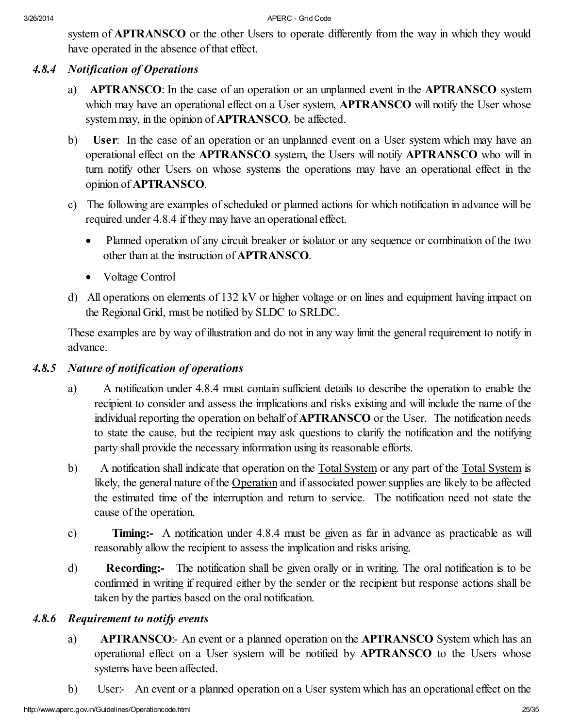system of **APTRANSCO** or the other Users to operate differently from the way in which they would have operated in the absence of that effect.

#### *4.8.4 Notification of Operations*

- a) APTRANSCO: In the case of an operation or an unplanned event in the APTRANSCO system which may have an operational effect on a User system, **APTRANSCO** will notify the User whose system may, in the opinion of **APTRANSCO**, be affected.
- b) User: In the case of an operation or an unplanned event on a User system which may have an operational effect on the APTRANSCO system, the Users will notify APTRANSCO who will in turn notify other Users on whose systems the operations may have an operational effect in the opinion of APTRANSCO.
- c) The following are examples of scheduled or planned actions for which notification in advance will be required under 4.8.4 if they may have an operational effect.
	- Planned operation of any circuit breaker or isolator or any sequence or combination of the two other than at the instruction of APTRANSCO.
	- Voltage Control
- d) All operations on elements of 132 kV or higher voltage or on lines and equipment having impact on the Regional Grid, must be notified by SLDC to SRLDC.

These examples are by way of illustration and do not in any way limit the general requirement to notify in advance.

### *4.8.5 Nature of notification of operations*

- a) A notification under 4.8.4 must contain sufficient details to describe the operation to enable the recipient to consider and assess the implications and risks existing and will include the name of the individual reporting the operation on behalf of APTRANSCO or the User. The notification needs to state the cause, but the recipient may ask questions to clarify the notification and the notifying party shall provide the necessary information using its reasonable efforts.
- b) A notification shall indicate that operation on the Total System or any part of the Total System is likely, the general nature of the Operation and if associated power supplies are likely to be affected the estimated time of the interruption and return to service. The notification need not state the cause of the operation.
- c) Timing:- A notification under 4.8.4 must be given as far in advance as practicable as will reasonably allow the recipient to assess the implication and risks arising.
- d) Recording:- The notification shall be given orally or in writing. The oral notification is to be confirmed in writing if required either by the sender or the recipient but response actions shall be taken by the parties based on the oral notification.

### *4.8.6 Requirement to notify events*

- a) APTRANSCO:- An event or a planned operation on the APTRANSCO System which has an operational effect on a User system will be notified by APTRANSCO to the Users whose systems have been affected.
- b) User:- An event or a planned operation on a User system which has an operational effect on the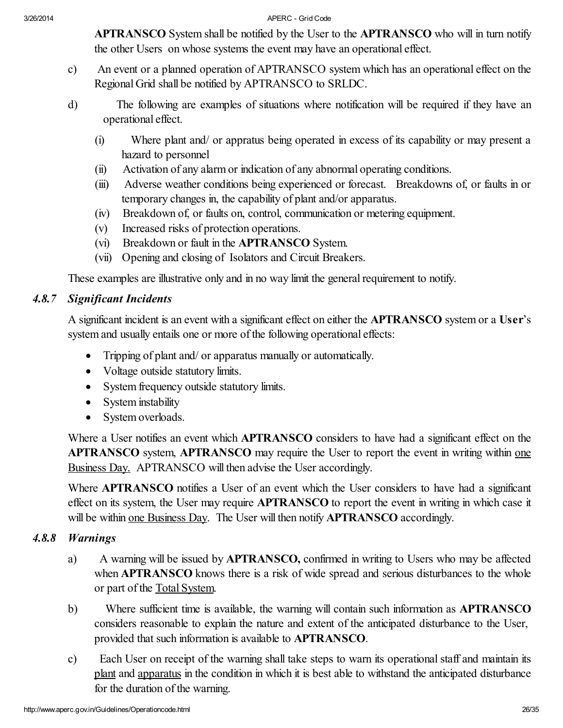APTRANSCO System shall be notified by the User to the APTRANSCO who will in turn notify the other Users on whose systems the event may have an operational effect.

- c) An event or a planned operation of APTRANSCO system which has an operational effect on the Regional Grid shall be notified by APTRANSCO to SRLDC.
- d) The following are examples of situations where notification will be required if they have an operational effect.
	- (i) Where plant and/ or appratus being operated in excess of its capability or may present a hazard to personnel
	- (ii) Activation of any alarm or indication of any abnormal operating conditions.
	- (iii) Adverse weather conditions being experienced or forecast. Breakdowns of, or faults in or temporary changes in, the capability of plant and/or apparatus.
	- (iv) Breakdown of, or faults on, control, communication or metering equipment.
	- (v) Increased risks of protection operations.
	- (vi) Breakdown or fault in the APTRANSCO System.
	- (vii) Opening and closing of Isolators and Circuit Breakers.

These examples are illustrative only and in no way limit the general requirement to notify.

# *4.8.7 Significant Incidents*

A significant incident is an event with a significant effect on either the APTRANSCO system or a User's system and usually entails one or more of the following operational effects:

- · Tripping of plant and/ or apparatus manually or automatically.
- Voltage outside statutory limits.
- · System frequency outside statutory limits.
- System instability
- System overloads.

Where a User notifies an event which **APTRANSCO** considers to have had a significant effect on the APTRANSCO system, APTRANSCO may require the User to report the event in writing within one Business Day. APTRANSCO will then advise the User accordingly.

Where **APTRANSCO** notifies a User of an event which the User considers to have had a significant effect on its system, the User may require APTRANSCO to report the event in writing in which case it will be within <u>one Business Day</u>. The User will then notify **APTRANSCO** accordingly.

### *4.8.8 Warnings*

- a) A warning will be issued by APTRANSCO, confirmed in writing to Users who may be affected when **APTRANSCO** knows there is a risk of wide spread and serious disturbances to the whole or part of the Total System.
- b) Where sufficient time is available, the warning will contain such information as APTRANSCO considers reasonable to explain the nature and extent of the anticipated disturbance to the User, provided that such information is available to APTRANSCO.
- c) Each User on receipt of the warning shall take steps to warn its operational staff and maintain its plant and apparatus in the condition in which it is best able to withstand the anticipated disturbance for the duration of the warning.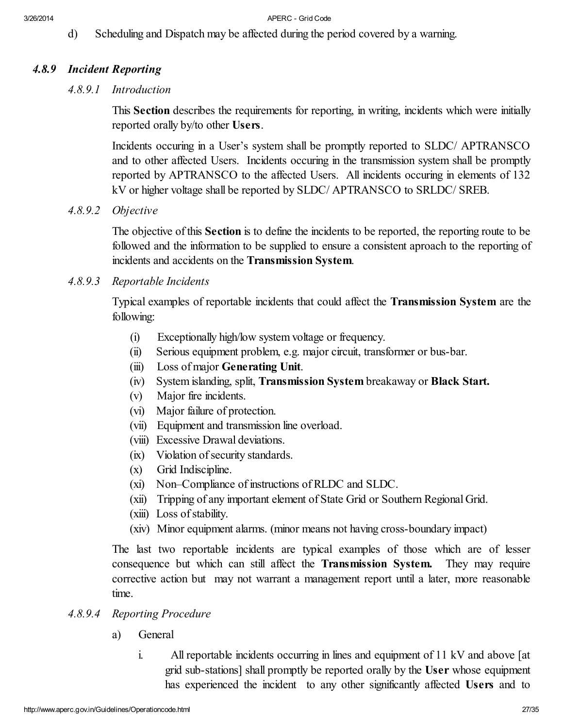d) Scheduling and Dispatch may be affected during the period covered by a warning.

### *4.8.9 Incident Reporting*

#### *4.8.9.1 Introduction*

This Section describes the requirements for reporting, in writing, incidents which were initially reported orally by/to other Users.

Incidents occuring in a User's system shall be promptly reported to SLDC/ APTRANSCO and to other affected Users. Incidents occuring in the transmission system shall be promptly reported by APTRANSCO to the affected Users. All incidents occuring in elements of 132 kV or higher voltage shall be reported by SLDC/ APTRANSCO to SRLDC/ SREB.

*4.8.9.2 Objective*

The objective of this Section is to define the incidents to be reported, the reporting route to be followed and the information to be supplied to ensure a consistent aproach to the reporting of incidents and accidents on the Transmission System.

#### *4.8.9.3 Reportable Incidents*

Typical examples of reportable incidents that could affect the Transmission System are the following:

- (i) Exceptionally high/low system voltage or frequency.
- (ii) Serious equipment problem, e.g. major circuit, transformer or bus-bar.
- (iii) Loss of major Generating Unit.
- (iv) System islanding, split, Transmission System breakaway or Black Start.
- (v) Major fire incidents.
- (vi) Major failure of protection.
- (vii) Equipment and transmission line overload.
- (viii) Excessive Drawal deviations.
- (ix) Violation of security standards.
- (x) Grid Indiscipline.
- (xi) Non–Compliance of instructions of RLDC and SLDC.
- (xii) Tripping of any important element of State Grid or Southern Regional Grid.
- (xiii) Loss of stability.
- (xiv) Minor equipment alarms. (minor means not having cross-boundary impact)

The last two reportable incidents are typical examples of those which are of lesser consequence but which can still affect the Transmission System. They may require corrective action but may not warrant a management report until a later, more reasonable time.

### *4.8.9.4 Reporting Procedure*

- a) General
	- i. All reportable incidents occurring in lines and equipment of 11 kV and above [at grid sub-stations] shall promptly be reported orally by the User whose equipment has experienced the incident to any other significantly affected Users and to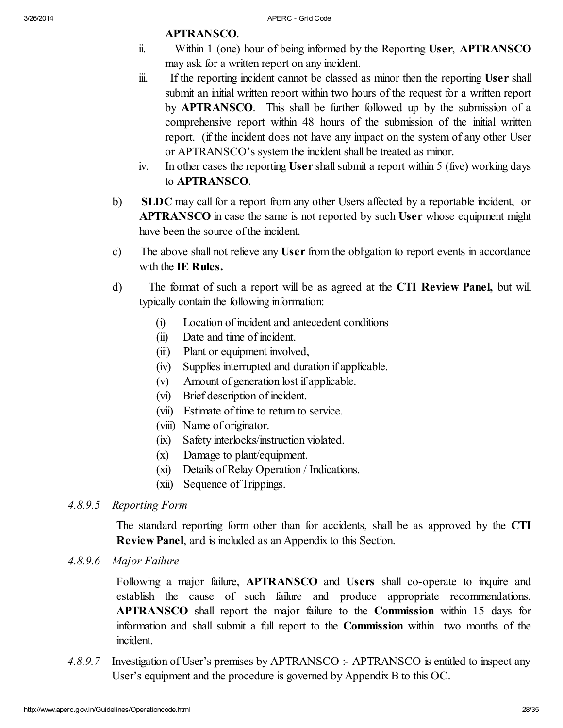# APTRANSCO.

- ii. Within 1 (one) hour of being informed by the Reporting User, APTRANSCO may ask for a written report on any incident.
- iii. If the reporting incident cannot be classed as minor then the reporting User shall submit an initial written report within two hours of the request for a written report by APTRANSCO. This shall be further followed up by the submission of a comprehensive report within 48 hours of the submission of the initial written report. (if the incident does not have any impact on the system of any other User or APTRANSCO's system the incident shall be treated as minor.
- iv. In other cases the reporting User shall submit a report within 5 (five) working days to APTRANSCO.
- b) SLDC may call for a report from any other Users affected by a reportable incident, or APTRANSCO in case the same is not reported by such User whose equipment might have been the source of the incident.
- c) The above shall not relieve any User from the obligation to report events in accordance with the IE Rules.
- d) The format of such a report will be as agreed at the CTI Review Panel, but will typically contain the following information:
	- (i) Location of incident and antecedent conditions
	- (ii) Date and time of incident.
	- (iii) Plant or equipment involved,
	- (iv) Supplies interrupted and duration if applicable.
	- (v) Amount of generation lost if applicable.
	- (vi) Brief description of incident.
	- (vii) Estimate of time to return to service.
	- (viii) Name of originator.
	- (ix) Safety interlocks/instruction violated.
	- (x) Damage to plant/equipment.
	- (xi) Details of Relay Operation / Indications.
	- (xii) Sequence of Trippings.
- *4.8.9.5 Reporting Form*

The standard reporting form other than for accidents, shall be as approved by the CTI Review Panel, and is included as an Appendix to this Section.

*4.8.9.6 Major Failure*

Following a major failure, APTRANSCO and Users shall co-operate to inquire and establish the cause of such failure and produce appropriate recommendations. APTRANSCO shall report the major failure to the Commission within 15 days for information and shall submit a full report to the Commission within two months of the incident.

*4.8.9.7* Investigation of User's premises by APTRANSCO :- APTRANSCO is entitled to inspect any User's equipment and the procedure is governed by Appendix B to this OC.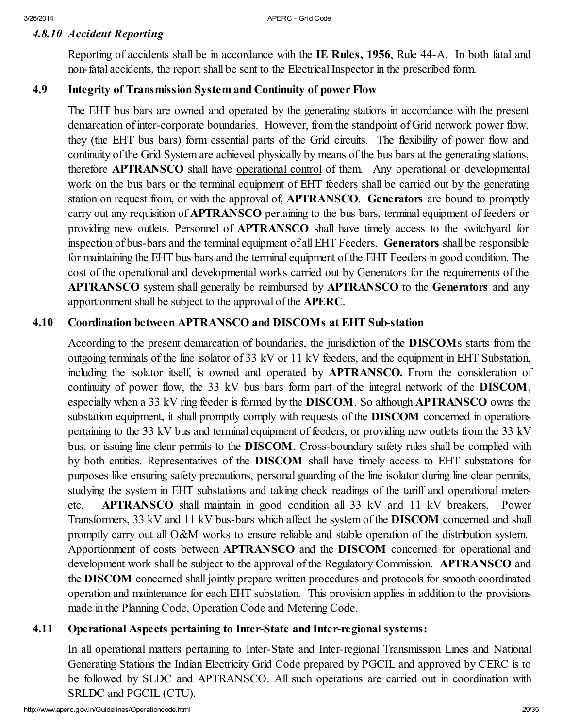# *4.8.10 Accident Reporting*

Reporting of accidents shall be in accordance with the IE Rules, 1956, Rule 44-A. In both fatal and non-fatal accidents, the report shall be sent to the Electrical Inspector in the prescribed form.

# 4.9 Integrity of Transmission System and Continuity of power Flow

The EHT bus bars are owned and operated by the generating stations in accordance with the present demarcation of inter-corporate boundaries. However, from the standpoint of Grid network power flow, they (the EHT bus bars) form essential parts of the Grid circuits. The flexibility of power flow and continuity of the Grid System are achieved physically by means of the bus bars at the generating stations, therefore APTRANSCO shall have operational control of them. Any operational or developmental work on the bus bars or the terminal equipment of EHT feeders shall be carried out by the generating station on request from, or with the approval of, **APTRANSCO**. Generators are bound to promptly carry out any requisition of **APTRANSCO** pertaining to the bus bars, terminal equipment of feeders or providing new outlets. Personnel of APTRANSCO shall have timely access to the switchyard for inspection of bus-bars and the terminal equipment of all EHT Feeders. Generators shall be responsible for maintaining the EHT bus bars and the terminal equipment of the EHT Feeders in good condition. The cost of the operational and developmental works carried out by Generators for the requirements of the APTRANSCO system shall generally be reimbursed by APTRANSCO to the Generators and any apportionment shall be subject to the approval of the APERC.

### 4.10 Coordination between APTRANSCO and DISCOMs at EHT Sub-station

According to the present demarcation of boundaries, the jurisdiction of the DISCOMs starts from the outgoing terminals of the line isolator of 33 kV or 11 kV feeders, and the equipment in EHT Substation, including the isolator itself, is owned and operated by APTRANSCO. From the consideration of continuity of power flow, the 33 kV bus bars form part of the integral network of the DISCOM, especially when a 33 kV ring feeder is formed by the DISCOM. So although APTRANSCO owns the substation equipment, it shall promptly comply with requests of the **DISCOM** concerned in operations pertaining to the 33 kV bus and terminal equipment of feeders, or providing new outlets from the 33 kV bus, or issuing line clear permits to the DISCOM. Cross-boundary safety rules shall be complied with by both entities. Representatives of the DISCOM shall have timely access to EHT substations for purposes like ensuring safety precautions, personal guarding of the line isolator during line clear permits, studying the system in EHT substations and taking check readings of the tariff and operational meters etc. APTRANSCO shall maintain in good condition all 33 kV and 11 kV breakers, Power Transformers, 33 kV and 11 kV bus-bars which affect the system of the DISCOM concerned and shall promptly carry out all O&M works to ensure reliable and stable operation of the distribution system. Apportionment of costs between APTRANSCO and the DISCOM concerned for operational and development work shall be subject to the approval of the Regulatory Commission. **APTRANSCO** and the DISCOM concerned shall jointly prepare written procedures and protocols for smooth coordinated operation and maintenance for each EHT substation. This provision applies in addition to the provisions made in the Planning Code, Operation Code and Metering Code.

### 4.11 Operational Aspects pertaining to Inter-State and Inter-regional systems:

In all operational matters pertaining to Inter-State and Inter-regional Transmission Lines and National Generating Stations the Indian Electricity Grid Code prepared by PGCIL and approved by CERC is to be followed by SLDC and APTRANSCO. All such operations are carried out in coordination with SRLDC and PGCIL (CTU).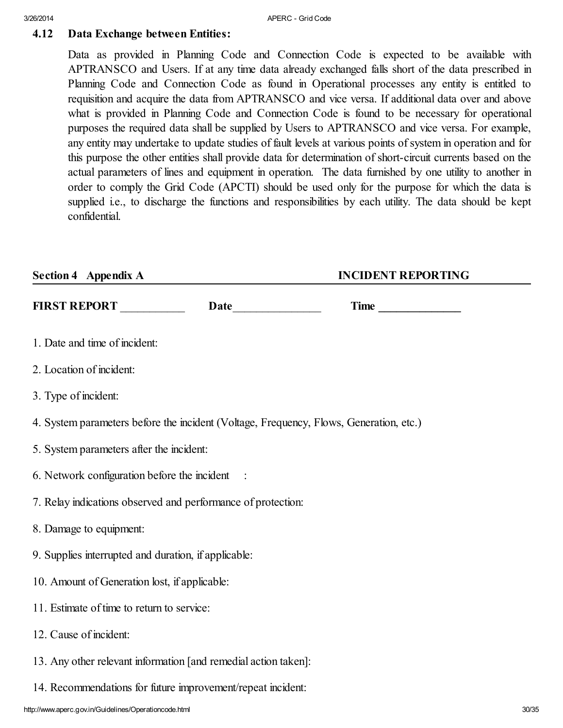# 4.12 Data Exchange between Entities:

Data as provided in Planning Code and Connection Code is expected to be available with APTRANSCO and Users. If at any time data already exchanged falls short of the data prescribed in Planning Code and Connection Code as found in Operational processes any entity is entitled to requisition and acquire the data from APTRANSCO and vice versa. If additional data over and above what is provided in Planning Code and Connection Code is found to be necessary for operational purposes the required data shall be supplied by Users to APTRANSCO and vice versa. For example, any entity may undertake to update studies of fault levels at various points of system in operation and for this purpose the other entities shall provide data for determination of short-circuit currents based on the actual parameters of lines and equipment in operation. The data furnished by one utility to another in order to comply the Grid Code (APCTI) should be used only for the purpose for which the data is supplied i.e., to discharge the functions and responsibilities by each utility. The data should be kept confidential.

| <b>Section 4 Appendix A</b>                                                            | <b>INCIDENT REPORTING</b> |
|----------------------------------------------------------------------------------------|---------------------------|
| FIRST REPORT<br>Date                                                                   | Time                      |
| 1. Date and time of incident:                                                          |                           |
| 2. Location of incident:                                                               |                           |
| 3. Type of incident:                                                                   |                           |
| 4. System parameters before the incident (Voltage, Frequency, Flows, Generation, etc.) |                           |
| 5. System parameters after the incident:                                               |                           |
| 6. Network configuration before the incident :                                         |                           |
| 7. Relay indications observed and performance of protection:                           |                           |
| 8. Damage to equipment:                                                                |                           |
| 9. Supplies interrupted and duration, if applicable:                                   |                           |
| 10. Amount of Generation lost, if applicable:                                          |                           |
| 11. Estimate of time to return to service:                                             |                           |
| 12. Cause of incident:                                                                 |                           |
| 13. Any other relevant information [and remedial action taken]:                        |                           |
| 14. Recommendations for future improvement/repeat incident:                            |                           |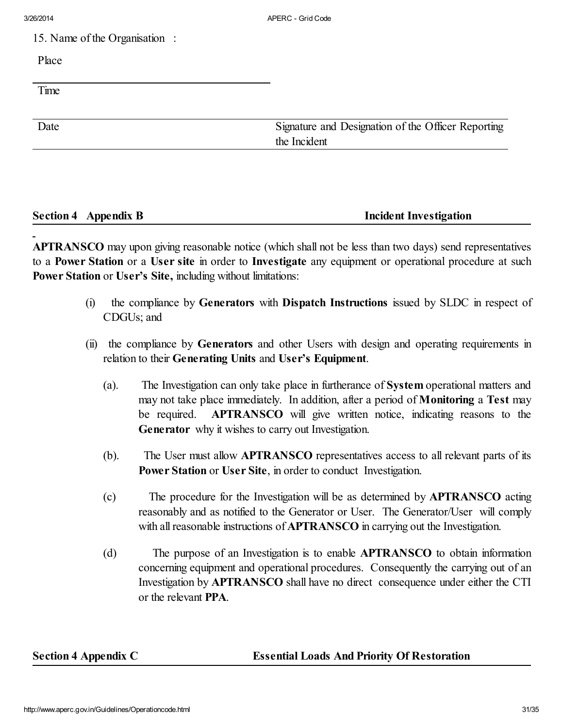15. Name of the Organisation :

Place

Time

Date Signature and Designation of the Officer Reporting the Incident

# Section 4 Appendix B **Incident Investigation**

APTRANSCO may upon giving reasonable notice (which shall not be less than two days) send representatives to a Power Station or a User site in order to Investigate any equipment or operational procedure at such Power Station or User's Site, including without limitations:

- (i) the compliance by Generators with Dispatch Instructions issued by SLDC in respect of CDGUs; and
- (ii) the compliance by Generators and other Users with design and operating requirements in relation to their Generating Units and User's Equipment.
	- (a). The Investigation can only take place in furtherance of System operational matters and may not take place immediately. In addition, after a period of Monitoring a Test may be required. APTRANSCO will give written notice, indicating reasons to the Generator why it wishes to carry out Investigation.
	- (b). The User must allow APTRANSCO representatives access to all relevant parts of its Power Station or User Site, in order to conduct Investigation.
	- (c) The procedure for the Investigation will be as determined by APTRANSCO acting reasonably and as notified to the Generator or User. The Generator/User will comply with all reasonable instructions of **APTRANSCO** in carrying out the Investigation.
	- (d) The purpose of an Investigation is to enable APTRANSCO to obtain information concerning equipment and operational procedures. Consequently the carrying out of an Investigation by APTRANSCO shall have no direct consequence under either the CTI or the relevant PPA.

Section 4 Appendix C Essential Loads And Priority Of Restoration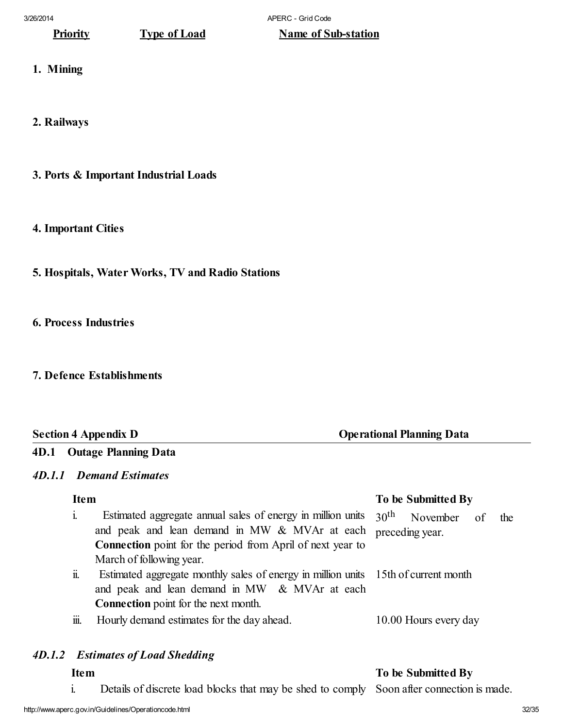# **Priority** Type of Load Name of Sub-station

- 1. Mining
- 2. Railways
- 3. Ports & Important Industrial Loads

### 4. Important Cities

- 5. Hospitals, Water Works, TV and Radio Stations
- 6. Process Industries
- 7. Defence Establishments

### Section 4 Appendix D **Operational Planning Data**

# 4D.1 Outage Planning Data

#### *4D.1.1 Demand Estimates*

| <b>Item</b>            |                                                                                                                                                                                                                | To be Submitted By                                        |  |  |  |
|------------------------|----------------------------------------------------------------------------------------------------------------------------------------------------------------------------------------------------------------|-----------------------------------------------------------|--|--|--|
| $\mathbf{i}$           | Estimated aggregate annual sales of energy in million units<br>and peak and lean demand in MW & MVAr at each<br><b>Connection</b> point for the period from April of next year to                              | 30 <sup>th</sup><br>November of<br>the<br>preceding year. |  |  |  |
| $\ddot{\mathbf{n}}$ .  | March of following year.<br>Estimated aggregate monthly sales of energy in million units 15th of current month<br>and peak and lean demand in MW & MVAr at each<br><b>Connection</b> point for the next month. |                                                           |  |  |  |
| $\dddot{\mathbf{m}}$ . | Hourly demand estimates for the day ahead.                                                                                                                                                                     | 10.00 Hours every day                                     |  |  |  |

# *4D.1.2 Estimates of Load Shedding*

#### Item To be Submitted By

i. Details of discrete load blocks that may be shed to comply Soon after connection is made.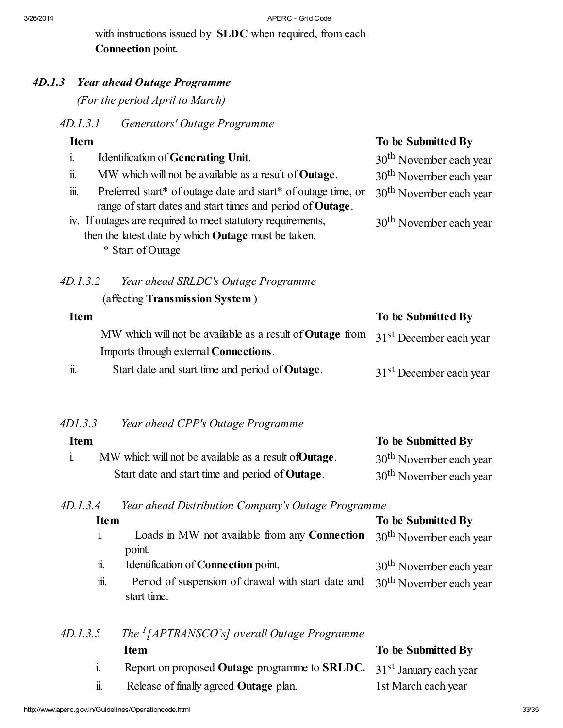with instructions issued by **SLDC** when required, from each Connection point.

# *4D.1.3 Year ahead Outage Programme*

*(For the period April to March)*

*4D.1.3.1 Generators' Outage Programme*

# Item To be Submitted By

|      | Identification of Generating Unit.                                 | 30 <sup>th</sup> November each year |
|------|--------------------------------------------------------------------|-------------------------------------|
| ii.  | MW which will not be available as a result of <b>Outage</b> .      | $30th$ November each year           |
| iïi. | Preferred start* of outage date and start* of outage time, or      | 30 <sup>th</sup> November each year |
|      | range of start dates and start times and period of <b>Outage</b> . |                                     |
|      | iv. If outages are required to meet statutory requirements,        | 30 <sup>th</sup> November each year |
|      | then the latest date by which <b>Outage</b> must be taken.         |                                     |
|      | * Start of Outage                                                  |                                     |
|      |                                                                    |                                     |

# *4D.1.3.2 Year ahead SRLDC's Outage Programme* (affecting Transmission System )

| <b>Item</b>           |                                                                                   | To be Submitted By                  |
|-----------------------|-----------------------------------------------------------------------------------|-------------------------------------|
|                       | MW which will not be available as a result of Outage from 31st December each year |                                     |
|                       | Imports through external <b>Connections</b> .                                     |                                     |
| $\ddot{\mathbf{u}}$ . | Start date and start time and period of <b>Outage</b> .                           | 31 <sup>st</sup> December each year |

### *4D1.3.3 Year ahead CPP's Outage Programme*

| <b>Item</b> |                                                         | To be Submitted By                  |
|-------------|---------------------------------------------------------|-------------------------------------|
|             | MW which will not be available as a result of Outage.   | 30 <sup>th</sup> November each year |
|             | Start date and start time and period of <b>Outage</b> . | 30 <sup>th</sup> November each year |

### *4D.1.3.4 Year ahead Distribution Company's Outage Programme*

| <b>Item</b>           |                                                              | To be Submitted By                  |
|-----------------------|--------------------------------------------------------------|-------------------------------------|
| $\mathbf{i}$          | Loads in MW not available from any <b>Connection</b>         | 30 <sup>th</sup> November each year |
|                       | point.                                                       |                                     |
| $\ddot{\mathbf{u}}$ . | Identification of <b>Connection</b> point.                   | 30 <sup>th</sup> November each year |
| iii.                  | Period of suspension of drawal with start date and           | $30th$ November each year           |
|                       | start time.                                                  |                                     |
|                       |                                                              |                                     |
| 4D.1.3.5              | The $^{1}$ [APTRANSCO's] overall Outage Programme            |                                     |
|                       | <b>Item</b>                                                  | To be Submitted By                  |
| $\mathbf{i}$ .        | Report on proposed <b>Outage</b> programme to <b>SRLDC</b> . | 31 <sup>st</sup> January each year  |
| $\ddot{\mathbf{u}}$ . | Release of finally agreed <b>Outage</b> plan.                | 1st March each year                 |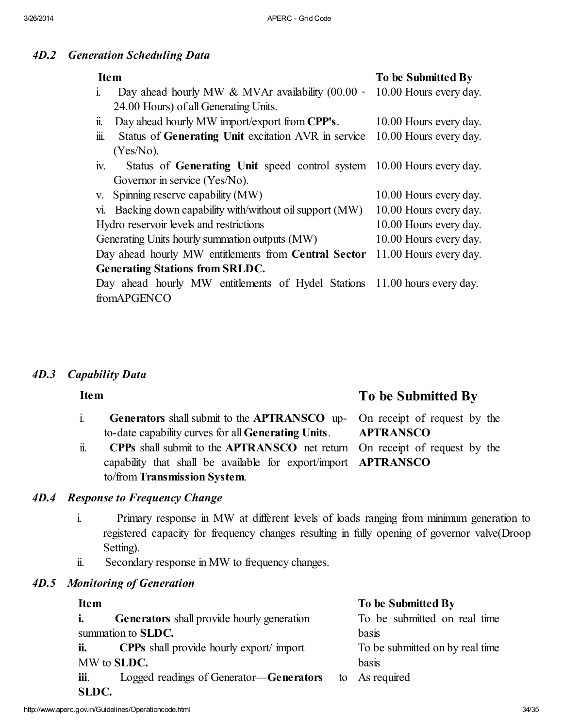### *4D.2 Generation Scheduling Data*

| <b>Item</b>                                                                             | To be Submitted By     |  |  |  |  |
|-----------------------------------------------------------------------------------------|------------------------|--|--|--|--|
| Day ahead hourly MW $&$ MVAr availability (00.00 -<br>$\mathbf{1}$                      | 10.00 Hours every day. |  |  |  |  |
| 24.00 Hours) of all Generating Units.                                                   |                        |  |  |  |  |
| Day ahead hourly MW import/export from CPP's.<br>$\mathbf{1}$                           | 10.00 Hours every day. |  |  |  |  |
| $\dddot{\mathbf{m}}$ .<br>Status of Generating Unit excitation AVR in service           | 10.00 Hours every day. |  |  |  |  |
| $(Yes/No)$ .                                                                            |                        |  |  |  |  |
| Status of Generating Unit speed control system 10.00 Hours every day.<br>$\mathbf{I}$ . |                        |  |  |  |  |
| Governor in service (Yes/No).                                                           |                        |  |  |  |  |
| Spinning reserve capability (MW)<br>V.                                                  | 10.00 Hours every day. |  |  |  |  |
| Backing down capability with/without oil support (MW)<br>Vl.                            | 10.00 Hours every day. |  |  |  |  |
| Hydro reservoir levels and restrictions                                                 | 10.00 Hours every day. |  |  |  |  |
| Generating Units hourly summation outputs (MW)                                          | 10.00 Hours every day. |  |  |  |  |
| Day ahead hourly MW entitlements from Central Sector                                    | 11.00 Hours every day. |  |  |  |  |
| <b>Generating Stations from SRLDC.</b>                                                  |                        |  |  |  |  |
| Day ahead hourly MW entitlements of Hydel Stations 11.00 hours every day.               |                        |  |  |  |  |
| fromAPGENCO                                                                             |                        |  |  |  |  |

### *4D.3 Capability Data*

#### i. Generators shall submit to the APTRANSCO upto-date capability curves for all Generating Units. On receipt of request by the **APTRANSCO**

ii. CPPs shall submit to the APTRANSCO net return capability that shall be available for export/import to/from Transmission System. **APTRANSCO** 

# *4D.4 Response to Frequency Change*

- i. Primary response in MW at different levels of loads ranging from minimum generation to registered capacity for frequency changes resulting in fully opening of governor valve(Droop Setting).
- ii. Secondary response in MW to frequency changes.

# *4D.5 Monitoring of Generation*

i. Generators shall provide hourly generation summation to SLDC.

ii. CPPs shall provide hourly export/ import MW to SLDC.

iii. Logged readings of Generator—Generators SLDC.

# Item To be Submitted By

On receipt of request by the

#### Item To be Submitted By

To be submitted on real time basis To be submitted on by real time basis

As required